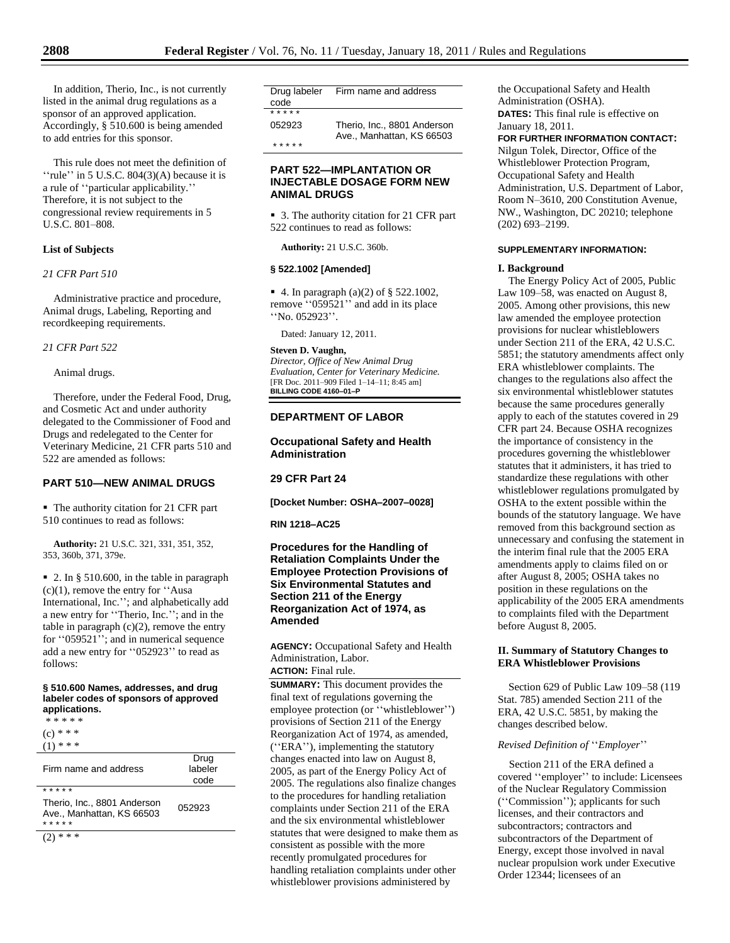In addition, Therio, Inc., is not currently listed in the animal drug regulations as a sponsor of an approved application. Accordingly, § 510.600 is being amended to add entries for this sponsor.

This rule does not meet the definition of ''rule'' in 5 U.S.C. 804(3)(A) because it is a rule of ''particular applicability.'' Therefore, it is not subject to the congressional review requirements in 5 U.S.C. 801–808.

## **List of Subjects**

## *21 CFR Part 510*

Administrative practice and procedure, Animal drugs, Labeling, Reporting and recordkeeping requirements.

## *21 CFR Part 522*

Animal drugs.

Therefore, under the Federal Food, Drug, and Cosmetic Act and under authority delegated to the Commissioner of Food and Drugs and redelegated to the Center for Veterinary Medicine, 21 CFR parts 510 and 522 are amended as follows:

## **PART 510—NEW ANIMAL DRUGS**

 The authority citation for 21 CFR part 510 continues to read as follows:

**Authority:** 21 U.S.C. 321, 331, 351, 352, 353, 360b, 371, 379e.

■ 2. In § 510.600, in the table in paragraph  $(c)(1)$ , remove the entry for "Ausa" International, Inc.''; and alphabetically add a new entry for ''Therio, Inc.''; and in the table in paragraph  $(c)(2)$ , remove the entry for ''059521''; and in numerical sequence add a new entry for ''052923'' to read as follows:

#### **§ 510.600 Names, addresses, and drug labeler codes of sponsors of approved applications.**

| * * * * *                                                |                 |
|----------------------------------------------------------|-----------------|
| * * *<br>(C)                                             |                 |
| * * *                                                    |                 |
| Firm name and address                                    | Drug<br>labeler |
|                                                          | code            |
|                                                          |                 |
| Therio, Inc., 8801 Anderson<br>Ave., Manhattan, KS 66503 | 052923          |

 $(2)$  \* \* \*

| code      | Drug labeler Firm name and address |
|-----------|------------------------------------|
| * * * * * |                                    |
| 052923    | Therio, Inc., 8801 Anderson        |
| * * * * * | Ave., Manhattan, KS 66503          |

## **PART 522—IMPLANTATION OR INJECTABLE DOSAGE FORM NEW ANIMAL DRUGS**

■ 3. The authority citation for 21 CFR part 522 continues to read as follows:

**Authority:** 21 U.S.C. 360b.

#### **§ 522.1002 [Amended]**

■ 4. In paragraph (a)(2) of § 522.1002, remove ''059521'' and add in its place ''No. 052923''.

Dated: January 12, 2011.

#### **Steven D. Vaughn,**

*Director, Office of New Animal Drug Evaluation, Center for Veterinary Medicine.* [FR Doc. 2011–909 Filed 1-14-11; 8:45 am] **BILLING CODE 4160–01–P**

#### **DEPARTMENT OF LABOR**

## **Occupational Safety and Health Administration**

## **29 CFR Part 24**

**[Docket Number: OSHA–2007–0028]**

#### **RIN 1218–AC25**

**Procedures for the Handling of Retaliation Complaints Under the Employee Protection Provisions of Six Environmental Statutes and Section 211 of the Energy Reorganization Act of 1974, as Amended**

**AGENCY:** Occupational Safety and Health Administration, Labor. **ACTION:** Final rule.

**SUMMARY:** This document provides the final text of regulations governing the employee protection (or ''whistleblower'') provisions of Section 211 of the Energy Reorganization Act of 1974, as amended, (''ERA''), implementing the statutory changes enacted into law on August 8, 2005, as part of the Energy Policy Act of 2005. The regulations also finalize changes to the procedures for handling retaliation complaints under Section 211 of the ERA and the six environmental whistleblower statutes that were designed to make them as consistent as possible with the more recently promulgated procedures for handling retaliation complaints under other whistleblower provisions administered by

the Occupational Safety and Health Administration (OSHA). **DATES:** This final rule is effective on January 18, 2011.

## **FOR FURTHER INFORMATION CONTACT:**

Nilgun Tolek, Director, Office of the Whistleblower Protection Program, Occupational Safety and Health Administration, U.S. Department of Labor, Room N–3610, 200 Constitution Avenue, NW., Washington, DC 20210; telephone (202) 693–2199.

## **SUPPLEMENTARY INFORMATION:**

#### **I. Background**

The Energy Policy Act of 2005, Public Law 109–58, was enacted on August 8, 2005. Among other provisions, this new law amended the employee protection provisions for nuclear whistleblowers under Section 211 of the ERA, 42 U.S.C. 5851; the statutory amendments affect only ERA whistleblower complaints. The changes to the regulations also affect the six environmental whistleblower statutes because the same procedures generally apply to each of the statutes covered in 29 CFR part 24. Because OSHA recognizes the importance of consistency in the procedures governing the whistleblower statutes that it administers, it has tried to standardize these regulations with other whistleblower regulations promulgated by OSHA to the extent possible within the bounds of the statutory language. We have removed from this background section as unnecessary and confusing the statement in the interim final rule that the 2005 ERA amendments apply to claims filed on or after August 8, 2005; OSHA takes no position in these regulations on the applicability of the 2005 ERA amendments to complaints filed with the Department before August 8, 2005.

#### **II. Summary of Statutory Changes to ERA Whistleblower Provisions**

Section 629 of Public Law 109–58 (119 Stat. 785) amended Section 211 of the ERA, 42 U.S.C. 5851, by making the changes described below.

## *Revised Definition of* ''*Employer*''

Section 211 of the ERA defined a covered ''employer'' to include: Licensees of the Nuclear Regulatory Commission (''Commission''); applicants for such licenses, and their contractors and subcontractors; contractors and subcontractors of the Department of Energy, except those involved in naval nuclear propulsion work under Executive Order 12344; licensees of an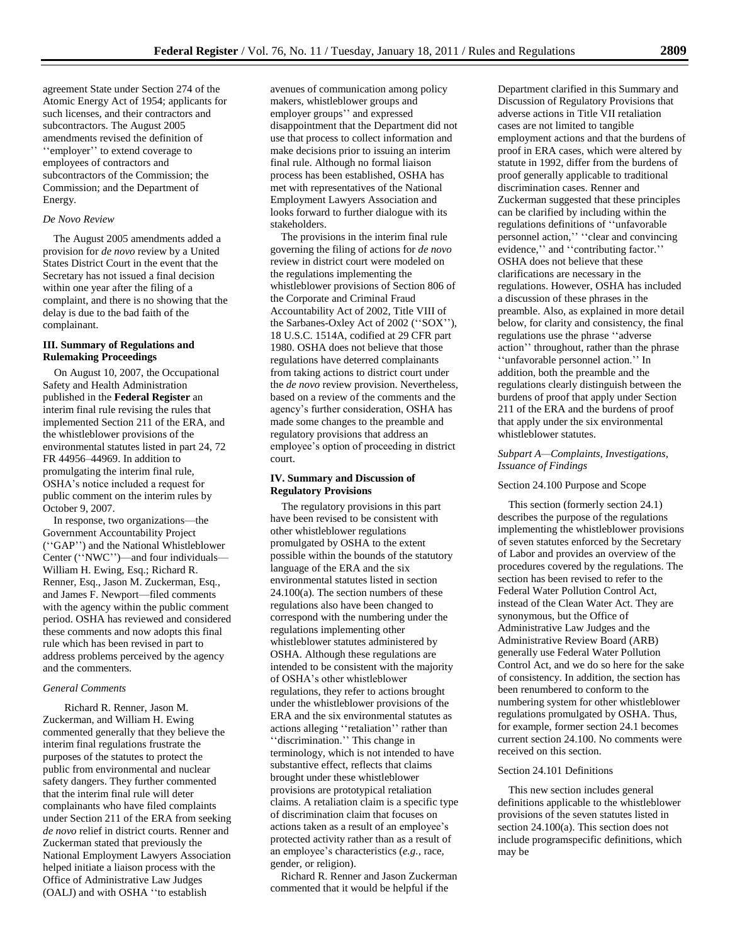agreement State under Section 274 of the Atomic Energy Act of 1954; applicants for such licenses, and their contractors and subcontractors. The August 2005 amendments revised the definition of ''employer'' to extend coverage to employees of contractors and subcontractors of the Commission; the Commission; and the Department of Energy.

## *De Novo Review*

The August 2005 amendments added a provision for *de novo* review by a United States District Court in the event that the Secretary has not issued a final decision within one year after the filing of a complaint, and there is no showing that the delay is due to the bad faith of the complainant.

## **III. Summary of Regulations and Rulemaking Proceedings**

On August 10, 2007, the Occupational Safety and Health Administration published in the **Federal Register** an interim final rule revising the rules that implemented Section 211 of the ERA, and the whistleblower provisions of the environmental statutes listed in part 24, 72 FR 44956–44969. In addition to promulgating the interim final rule, OSHA's notice included a request for public comment on the interim rules by October 9, 2007.

In response, two organizations—the Government Accountability Project (''GAP'') and the National Whistleblower Center (''NWC'')—and four individuals— William H. Ewing, Esq.; Richard R. Renner, Esq., Jason M. Zuckerman, Esq., and James F. Newport—filed comments with the agency within the public comment period. OSHA has reviewed and considered these comments and now adopts this final rule which has been revised in part to address problems perceived by the agency and the commenters.

## *General Comments*

Richard R. Renner, Jason M. Zuckerman, and William H. Ewing commented generally that they believe the interim final regulations frustrate the purposes of the statutes to protect the public from environmental and nuclear safety dangers. They further commented that the interim final rule will deter complainants who have filed complaints under Section 211 of the ERA from seeking *de novo* relief in district courts. Renner and Zuckerman stated that previously the National Employment Lawyers Association helped initiate a liaison process with the Office of Administrative Law Judges (OALJ) and with OSHA ''to establish

avenues of communication among policy makers, whistleblower groups and employer groups'' and expressed disappointment that the Department did not use that process to collect information and make decisions prior to issuing an interim final rule. Although no formal liaison process has been established, OSHA has met with representatives of the National Employment Lawyers Association and looks forward to further dialogue with its stakeholders.

The provisions in the interim final rule governing the filing of actions for *de novo*  review in district court were modeled on the regulations implementing the whistleblower provisions of Section 806 of the Corporate and Criminal Fraud Accountability Act of 2002, Title VIII of the Sarbanes-Oxley Act of 2002 (''SOX''), 18 U.S.C. 1514A, codified at 29 CFR part 1980. OSHA does not believe that those regulations have deterred complainants from taking actions to district court under the *de novo* review provision. Nevertheless, based on a review of the comments and the agency's further consideration, OSHA has made some changes to the preamble and regulatory provisions that address an employee's option of proceeding in district court.

## **IV. Summary and Discussion of Regulatory Provisions**

The regulatory provisions in this part have been revised to be consistent with other whistleblower regulations promulgated by OSHA to the extent possible within the bounds of the statutory language of the ERA and the six environmental statutes listed in section  $24.100(a)$ . The section numbers of these regulations also have been changed to correspond with the numbering under the regulations implementing other whistleblower statutes administered by OSHA. Although these regulations are intended to be consistent with the majority of OSHA's other whistleblower regulations, they refer to actions brought under the whistleblower provisions of the ERA and the six environmental statutes as actions alleging ''retaliation'' rather than ''discrimination.'' This change in terminology, which is not intended to have substantive effect, reflects that claims brought under these whistleblower provisions are prototypical retaliation claims. A retaliation claim is a specific type of discrimination claim that focuses on actions taken as a result of an employee's protected activity rather than as a result of an employee's characteristics (*e.g.,* race, gender, or religion).

Richard R. Renner and Jason Zuckerman commented that it would be helpful if the

Department clarified in this Summary and Discussion of Regulatory Provisions that adverse actions in Title VII retaliation cases are not limited to tangible employment actions and that the burdens of proof in ERA cases, which were altered by statute in 1992, differ from the burdens of proof generally applicable to traditional discrimination cases. Renner and Zuckerman suggested that these principles can be clarified by including within the regulations definitions of ''unfavorable personnel action,'' ''clear and convincing evidence,'' and ''contributing factor.'' OSHA does not believe that these clarifications are necessary in the regulations. However, OSHA has included a discussion of these phrases in the preamble. Also, as explained in more detail below, for clarity and consistency, the final regulations use the phrase ''adverse action'' throughout, rather than the phrase ''unfavorable personnel action.'' In addition, both the preamble and the regulations clearly distinguish between the burdens of proof that apply under Section 211 of the ERA and the burdens of proof that apply under the six environmental whistleblower statutes.

## *Subpart A—Complaints, Investigations, Issuance of Findings*

## Section 24.100 Purpose and Scope

This section (formerly section 24.1) describes the purpose of the regulations implementing the whistleblower provisions of seven statutes enforced by the Secretary of Labor and provides an overview of the procedures covered by the regulations. The section has been revised to refer to the Federal Water Pollution Control Act, instead of the Clean Water Act. They are synonymous, but the Office of Administrative Law Judges and the Administrative Review Board (ARB) generally use Federal Water Pollution Control Act, and we do so here for the sake of consistency. In addition, the section has been renumbered to conform to the numbering system for other whistleblower regulations promulgated by OSHA. Thus, for example, former section 24.1 becomes current section 24.100. No comments were received on this section.

#### Section 24.101 Definitions

This new section includes general definitions applicable to the whistleblower provisions of the seven statutes listed in section 24.100(a). This section does not include programspecific definitions, which may be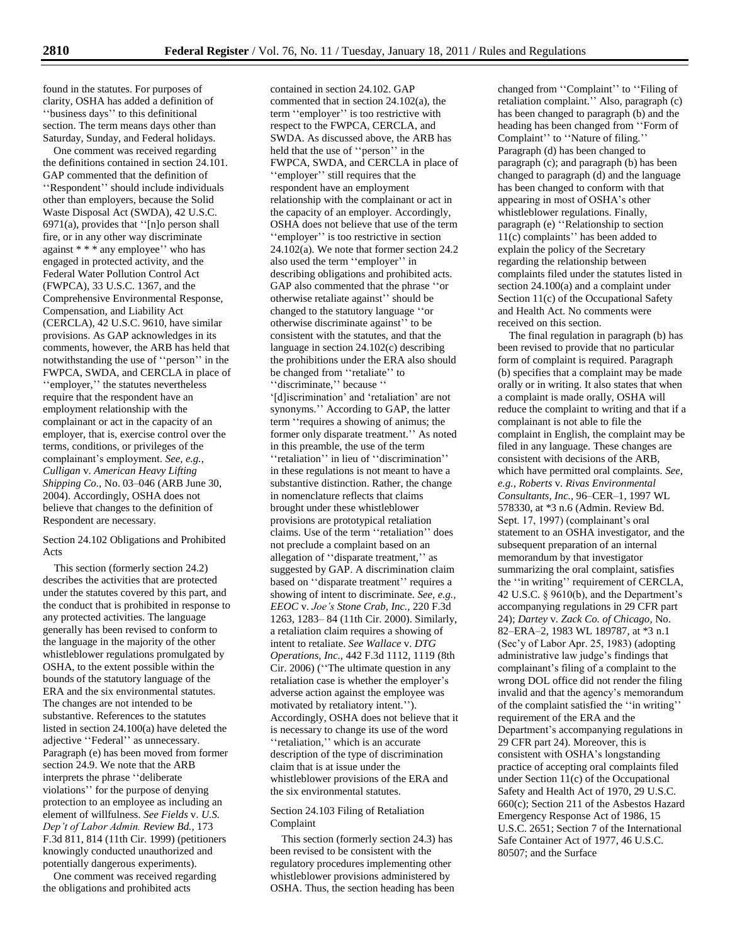found in the statutes. For purposes of clarity, OSHA has added a definition of ''business days'' to this definitional section. The term means days other than Saturday, Sunday, and Federal holidays.

One comment was received regarding the definitions contained in section 24.101. GAP commented that the definition of ''Respondent'' should include individuals other than employers, because the Solid Waste Disposal Act (SWDA), 42 U.S.C. 6971(a), provides that ''[n]o person shall fire, or in any other way discriminate against \* \* \* any employee'' who has engaged in protected activity, and the Federal Water Pollution Control Act (FWPCA), 33 U.S.C. 1367, and the Comprehensive Environmental Response, Compensation, and Liability Act (CERCLA), 42 U.S.C. 9610, have similar provisions. As GAP acknowledges in its comments, however, the ARB has held that notwithstanding the use of ''person'' in the FWPCA, SWDA, and CERCLA in place of ''employer,'' the statutes nevertheless require that the respondent have an employment relationship with the complainant or act in the capacity of an employer, that is, exercise control over the terms, conditions, or privileges of the complainant's employment. *See, e.g., Culligan* v. *American Heavy Lifting Shipping Co.,* No. 03–046 (ARB June 30, 2004). Accordingly, OSHA does not believe that changes to the definition of Respondent are necessary.

Section 24.102 Obligations and Prohibited Acts

This section (formerly section 24.2) describes the activities that are protected under the statutes covered by this part, and the conduct that is prohibited in response to any protected activities. The language generally has been revised to conform to the language in the majority of the other whistleblower regulations promulgated by OSHA, to the extent possible within the bounds of the statutory language of the ERA and the six environmental statutes. The changes are not intended to be substantive. References to the statutes listed in section 24.100(a) have deleted the adjective ''Federal'' as unnecessary. Paragraph (e) has been moved from former section 24.9. We note that the ARB interprets the phrase ''deliberate violations'' for the purpose of denying protection to an employee as including an element of willfulness. *See Fields* v. *U.S. Dep't of Labor Admin. Review Bd.,* 173 F.3d 811, 814 (11th Cir. 1999) (petitioners knowingly conducted unauthorized and potentially dangerous experiments).

One comment was received regarding the obligations and prohibited acts

contained in section 24.102. GAP commented that in section 24.102(a), the term ''employer'' is too restrictive with respect to the FWPCA, CERCLA, and SWDA. As discussed above, the ARB has held that the use of ''person'' in the FWPCA, SWDA, and CERCLA in place of ''employer'' still requires that the respondent have an employment relationship with the complainant or act in the capacity of an employer. Accordingly, OSHA does not believe that use of the term ''employer'' is too restrictive in section 24.102(a). We note that former section 24.2 also used the term ''employer'' in describing obligations and prohibited acts. GAP also commented that the phrase ''or otherwise retaliate against'' should be changed to the statutory language ''or otherwise discriminate against'' to be consistent with the statutes, and that the language in section 24.102(c) describing the prohibitions under the ERA also should be changed from ''retaliate'' to ''discriminate,'' because '' '[d]iscrimination' and 'retaliation' are not synonyms.'' According to GAP, the latter term ''requires a showing of animus; the former only disparate treatment.'' As noted in this preamble, the use of the term ''retaliation'' in lieu of ''discrimination'' in these regulations is not meant to have a substantive distinction. Rather, the change in nomenclature reflects that claims brought under these whistleblower provisions are prototypical retaliation claims. Use of the term ''retaliation'' does not preclude a complaint based on an allegation of ''disparate treatment,'' as suggested by GAP. A discrimination claim based on ''disparate treatment'' requires a showing of intent to discriminate. *See, e.g., EEOC* v. *Joe's Stone Crab, Inc.,* 220 F.3d 1263, 1283– 84 (11th Cir. 2000). Similarly, a retaliation claim requires a showing of intent to retaliate. *See Wallace* v. *DTG Operations, Inc.,* 442 F.3d 1112, 1119 (8th Cir. 2006) (''The ultimate question in any retaliation case is whether the employer's adverse action against the employee was motivated by retaliatory intent.''). Accordingly, OSHA does not believe that it is necessary to change its use of the word ''retaliation,'' which is an accurate description of the type of discrimination claim that is at issue under the whistleblower provisions of the ERA and the six environmental statutes.

Section 24.103 Filing of Retaliation Complaint

This section (formerly section 24.3) has been revised to be consistent with the regulatory procedures implementing other whistleblower provisions administered by OSHA. Thus, the section heading has been

changed from ''Complaint'' to ''Filing of retaliation complaint.'' Also, paragraph (c) has been changed to paragraph (b) and the heading has been changed from ''Form of Complaint'' to ''Nature of filing.'' Paragraph (d) has been changed to paragraph (c); and paragraph (b) has been changed to paragraph (d) and the language has been changed to conform with that appearing in most of OSHA's other whistleblower regulations. Finally, paragraph (e) ''Relationship to section 11(c) complaints'' has been added to explain the policy of the Secretary regarding the relationship between complaints filed under the statutes listed in section 24.100(a) and a complaint under Section 11(c) of the Occupational Safety and Health Act. No comments were received on this section.

The final regulation in paragraph (b) has been revised to provide that no particular form of complaint is required. Paragraph (b) specifies that a complaint may be made orally or in writing. It also states that when a complaint is made orally, OSHA will reduce the complaint to writing and that if a complainant is not able to file the complaint in English, the complaint may be filed in any language. These changes are consistent with decisions of the ARB, which have permitted oral complaints. *See, e.g., Roberts* v. *Rivas Environmental Consultants, Inc.,* 96–CER–1, 1997 WL 578330, at \*3 n.6 (Admin. Review Bd. Sept. 17, 1997) (complainant's oral statement to an OSHA investigator, and the subsequent preparation of an internal memorandum by that investigator summarizing the oral complaint, satisfies the ''in writing'' requirement of CERCLA, 42 U.S.C. § 9610(b), and the Department's accompanying regulations in 29 CFR part 24); *Dartey* v. *Zack Co. of Chicago,* No. 82–ERA–2, 1983 WL 189787, at \*3 n.1 (Sec'y of Labor Apr. 25, 1983) (adopting administrative law judge's findings that complainant's filing of a complaint to the wrong DOL office did not render the filing invalid and that the agency's memorandum of the complaint satisfied the ''in writing'' requirement of the ERA and the Department's accompanying regulations in 29 CFR part 24). Moreover, this is consistent with OSHA's longstanding practice of accepting oral complaints filed under Section 11(c) of the Occupational Safety and Health Act of 1970, 29 U.S.C. 660(c); Section 211 of the Asbestos Hazard Emergency Response Act of 1986, 15 U.S.C. 2651; Section 7 of the International Safe Container Act of 1977, 46 U.S.C. 80507; and the Surface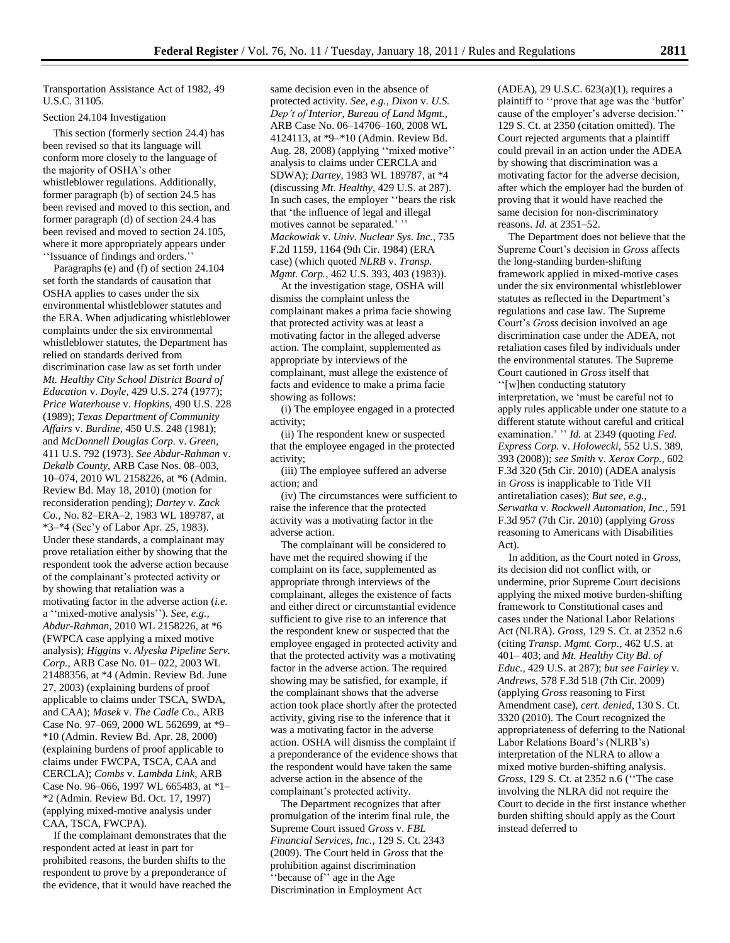Transportation Assistance Act of 1982, 49 U.S.C. 31105.

## Section 24.104 Investigation

This section (formerly section 24.4) has been revised so that its language will conform more closely to the language of the majority of OSHA's other whistleblower regulations. Additionally, former paragraph (b) of section 24.5 has been revised and moved to this section, and former paragraph (d) of section 24.4 has been revised and moved to section 24.105, where it more appropriately appears under ''Issuance of findings and orders.''

Paragraphs (e) and (f) of section 24.104 set forth the standards of causation that OSHA applies to cases under the six environmental whistleblower statutes and the ERA. When adjudicating whistleblower complaints under the six environmental whistleblower statutes, the Department has relied on standards derived from discrimination case law as set forth under *Mt. Healthy City School District Board of Education* v. *Doyle,* 429 U.S. 274 (1977); *Price Waterhouse* v. *Hopkins,* 490 U.S. 228 (1989); *Texas Department of Community Affairs* v. *Burdine,* 450 U.S. 248 (1981); and *McDonnell Douglas Corp.* v. *Green,*  411 U.S. 792 (1973). *See Abdur-Rahman* v. *Dekalb County,* ARB Case Nos. 08–003, 10–074, 2010 WL 2158226, at \*6 (Admin. Review Bd. May 18, 2010) (motion for reconsideration pending); *Dartey* v. *Zack Co.,* No. 82–ERA–2, 1983 WL 189787, at \*3–\*4 (Sec'y of Labor Apr. 25, 1983). Under these standards, a complainant may prove retaliation either by showing that the respondent took the adverse action because of the complainant's protected activity or by showing that retaliation was a motivating factor in the adverse action (*i.e.*  a ''mixed-motive analysis''). *See, e.g., Abdur-Rahman,* 2010 WL 2158226, at \*6 (FWPCA case applying a mixed motive analysis); *Higgins* v. *Alyeska Pipeline Serv. Corp.,* ARB Case No. 01– 022, 2003 WL 21488356, at \*4 (Admin. Review Bd. June 27, 2003) (explaining burdens of proof applicable to claims under TSCA, SWDA, and CAA); *Masek* v. *The Cadle Co.,* ARB Case No. 97–069, 2000 WL 562699, at \*9– \*10 (Admin. Review Bd. Apr. 28, 2000) (explaining burdens of proof applicable to claims under FWCPA, TSCA, CAA and CERCLA); *Combs* v. *Lambda Link,* ARB Case No. 96–066, 1997 WL 665483, at \*1– \*2 (Admin. Review Bd. Oct. 17, 1997) (applying mixed-motive analysis under CAA, TSCA, FWCPA).

If the complainant demonstrates that the respondent acted at least in part for prohibited reasons, the burden shifts to the respondent to prove by a preponderance of the evidence, that it would have reached the same decision even in the absence of protected activity. *See, e.g., Dixon* v. *U.S. Dep't of Interior, Bureau of Land Mgmt.,*  ARB Case No. 06–14706–160, 2008 WL 4124113, at \*9–\*10 (Admin. Review Bd. Aug. 28, 2008) (applying ''mixed motive'' analysis to claims under CERCLA and SDWA); *Dartey,* 1983 WL 189787, at \*4 (discussing *Mt. Healthy,* 429 U.S. at 287). In such cases, the employer ''bears the risk that 'the influence of legal and illegal motives cannot be separated.' ' *Mackowiak* v. *Univ. Nuclear Sys. Inc.,* 735 F.2d 1159, 1164 (9th Cir. 1984) (ERA case) (which quoted *NLRB* v. *Transp. Mgmt. Corp.,* 462 U.S. 393, 403 (1983)).

At the investigation stage, OSHA will dismiss the complaint unless the complainant makes a prima facie showing that protected activity was at least a motivating factor in the alleged adverse action. The complaint, supplemented as appropriate by interviews of the complainant, must allege the existence of facts and evidence to make a prima facie showing as follows:

(i) The employee engaged in a protected activity;

(ii) The respondent knew or suspected that the employee engaged in the protected activity;

(iii) The employee suffered an adverse action; and

(iv) The circumstances were sufficient to raise the inference that the protected activity was a motivating factor in the adverse action.

The complainant will be considered to have met the required showing if the complaint on its face, supplemented as appropriate through interviews of the complainant, alleges the existence of facts and either direct or circumstantial evidence sufficient to give rise to an inference that the respondent knew or suspected that the employee engaged in protected activity and that the protected activity was a motivating factor in the adverse action. The required showing may be satisfied, for example, if the complainant shows that the adverse action took place shortly after the protected activity, giving rise to the inference that it was a motivating factor in the adverse action. OSHA will dismiss the complaint if a preponderance of the evidence shows that the respondent would have taken the same adverse action in the absence of the complainant's protected activity.

The Department recognizes that after promulgation of the interim final rule, the Supreme Court issued *Gross* v. *FBL Financial Services, Inc.,* 129 S. Ct. 2343 (2009). The Court held in *Gross* that the prohibition against discrimination ''because of'' age in the Age Discrimination in Employment Act

(ADEA), 29 U.S.C. 623(a)(1), requires a plaintiff to ''prove that age was the 'butfor' cause of the employer's adverse decision.'' 129 S. Ct. at 2350 (citation omitted). The Court rejected arguments that a plaintiff could prevail in an action under the ADEA by showing that discrimination was a motivating factor for the adverse decision, after which the employer had the burden of proving that it would have reached the same decision for non-discriminatory reasons. *Id.* at 2351–52.

The Department does not believe that the Supreme Court's decision in *Gross* affects the long-standing burden-shifting framework applied in mixed-motive cases under the six environmental whistleblower statutes as reflected in the Department's regulations and case law. The Supreme Court's *Gross* decision involved an age discrimination case under the ADEA, not retaliation cases filed by individuals under the environmental statutes. The Supreme Court cautioned in *Gross* itself that ''[w]hen conducting statutory interpretation, we 'must be careful not to apply rules applicable under one statute to a different statute without careful and critical examination.' '' *Id.* at 2349 (quoting *Fed. Express Corp.* v. *Holowecki,* 552 U.S. 389, 393 (2008)); *see Smith* v. *Xerox Corp.,* 602 F.3d 320 (5th Cir. 2010) (ADEA analysis in *Gross* is inapplicable to Title VII antiretaliation cases); *But see, e.g., Serwatka* v. *Rockwell Automation, Inc.,* 591 F.3d 957 (7th Cir. 2010) (applying *Gross* reasoning to Americans with Disabilities Act).

In addition, as the Court noted in *Gross,*  its decision did not conflict with, or undermine, prior Supreme Court decisions applying the mixed motive burden-shifting framework to Constitutional cases and cases under the National Labor Relations Act (NLRA). *Gross,* 129 S. Ct. at 2352 n.6 (citing *Transp. Mgmt. Corp.,* 462 U.S. at 401– 403; and *Mt. Healthy City Bd. of Educ.,* 429 U.S. at 287); *but see Fairley* v. *Andrews,* 578 F.3d 518 (7th Cir. 2009) (applying *Gross* reasoning to First Amendment case), *cert. denied,* 130 S. Ct. 3320 (2010). The Court recognized the appropriateness of deferring to the National Labor Relations Board's (NLRB's) interpretation of the NLRA to allow a mixed motive burden-shifting analysis. *Gross,* 129 S. Ct. at 2352 n.6 (''The case involving the NLRA did not require the Court to decide in the first instance whether burden shifting should apply as the Court instead deferred to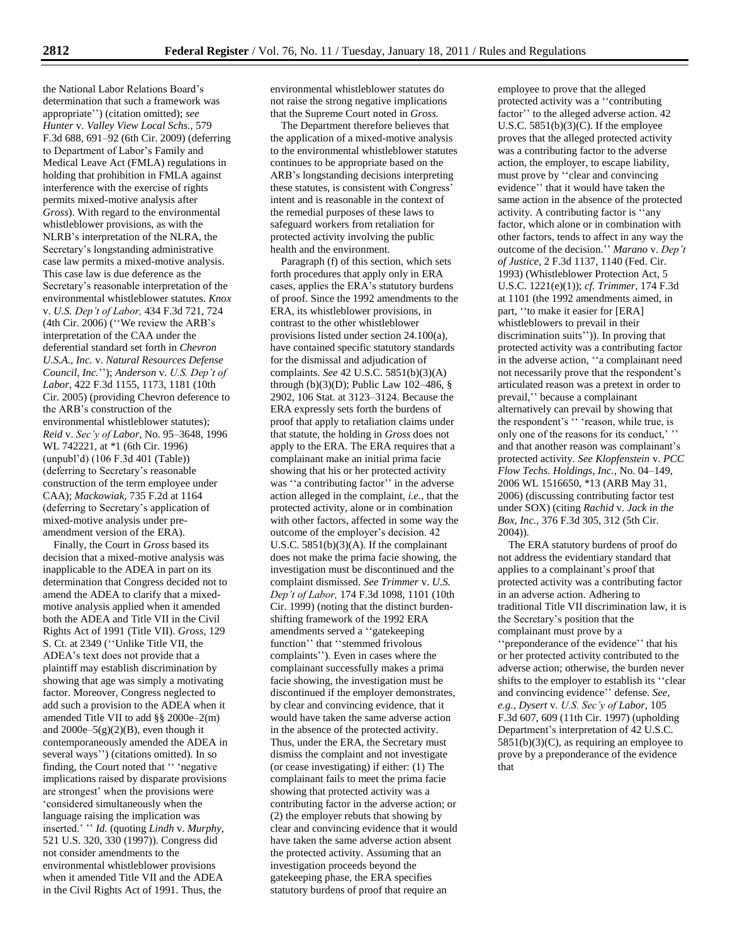the National Labor Relations Board's determination that such a framework was appropriate'') (citation omitted); *see Hunter* v. *Valley View Local Schs.,* 579 F.3d 688, 691–92 (6th Cir. 2009) (deferring to Department of Labor's Family and Medical Leave Act (FMLA) regulations in holding that prohibition in FMLA against interference with the exercise of rights permits mixed-motive analysis after *Gross*). With regard to the environmental whistleblower provisions, as with the NLRB's interpretation of the NLRA, the Secretary's longstanding administrative case law permits a mixed-motive analysis. This case law is due deference as the Secretary's reasonable interpretation of the environmental whistleblower statutes. *Knox*  v. *U.S. Dep't of Labor,* 434 F.3d 721, 724 (4th Cir. 2006) (''We review the ARB's interpretation of the CAA under the deferential standard set forth in *Chevron U.S.A., Inc.* v. *Natural Resources Defense Council, Inc.*''); *Anderson* v. *U.S. Dep't of Labor,* 422 F.3d 1155, 1173, 1181 (10th Cir. 2005) (providing Chevron deference to the ARB's construction of the environmental whistleblower statutes); *Reid* v. *Sec'y of Labor,* No. 95–3648, 1996 WL 742221, at \*1 (6th Cir. 1996) (unpubl'd) (106 F.3d 401 (Table)) (deferring to Secretary's reasonable construction of the term employee under CAA); *Mackowiak,* 735 F.2d at 1164 (deferring to Secretary's application of mixed-motive analysis under preamendment version of the ERA).

Finally, the Court in *Gross* based its decision that a mixed-motive analysis was inapplicable to the ADEA in part on its determination that Congress decided not to amend the ADEA to clarify that a mixedmotive analysis applied when it amended both the ADEA and Title VII in the Civil Rights Act of 1991 (Title VII). *Gross,* 129 S. Ct. at 2349 (''Unlike Title VII, the ADEA's text does not provide that a plaintiff may establish discrimination by showing that age was simply a motivating factor. Moreover, Congress neglected to add such a provision to the ADEA when it amended Title VII to add §§ 2000e–2(m) and  $2000e-5(g)(2)(B)$ , even though it contemporaneously amended the ADEA in several ways'') (citations omitted). In so finding, the Court noted that '' 'negative implications raised by disparate provisions are strongest' when the provisions were 'considered simultaneously when the language raising the implication was inserted.' '' *Id.* (quoting *Lindh* v. *Murphy,*  521 U.S. 320, 330 (1997)). Congress did not consider amendments to the environmental whistleblower provisions when it amended Title VII and the ADEA in the Civil Rights Act of 1991. Thus, the

environmental whistleblower statutes do not raise the strong negative implications that the Supreme Court noted in *Gross.*

The Department therefore believes that the application of a mixed-motive analysis to the environmental whistleblower statutes continues to be appropriate based on the ARB's longstanding decisions interpreting these statutes, is consistent with Congress' intent and is reasonable in the context of the remedial purposes of these laws to safeguard workers from retaliation for protected activity involving the public health and the environment.

Paragraph (f) of this section, which sets forth procedures that apply only in ERA cases, applies the ERA's statutory burdens of proof. Since the 1992 amendments to the ERA, its whistleblower provisions, in contrast to the other whistleblower provisions listed under section 24.100(a), have contained specific statutory standards for the dismissal and adjudication of complaints. *See* 42 U.S.C. 5851(b)(3)(A) through (b)(3)(D); Public Law 102–486, § 2902, 106 Stat. at 3123–3124. Because the ERA expressly sets forth the burdens of proof that apply to retaliation claims under that statute, the holding in *Gross* does not apply to the ERA. The ERA requires that a complainant make an initial prima facie showing that his or her protected activity was ''a contributing factor'' in the adverse action alleged in the complaint, *i.e.,* that the protected activity, alone or in combination with other factors, affected in some way the outcome of the employer's decision. 42 U.S.C. 5851(b)(3)(A). If the complainant does not make the prima facie showing, the investigation must be discontinued and the complaint dismissed. *See Trimmer* v. *U.S. Dep't of Labor,* 174 F.3d 1098, 1101 (10th Cir. 1999) (noting that the distinct burdenshifting framework of the 1992 ERA amendments served a ''gatekeeping function'' that ''stemmed frivolous complaints''). Even in cases where the complainant successfully makes a prima facie showing, the investigation must be discontinued if the employer demonstrates, by clear and convincing evidence, that it would have taken the same adverse action in the absence of the protected activity. Thus, under the ERA, the Secretary must dismiss the complaint and not investigate (or cease investigating) if either: (1) The complainant fails to meet the prima facie showing that protected activity was a contributing factor in the adverse action; or (2) the employer rebuts that showing by clear and convincing evidence that it would have taken the same adverse action absent the protected activity. Assuming that an investigation proceeds beyond the gatekeeping phase, the ERA specifies statutory burdens of proof that require an

employee to prove that the alleged protected activity was a ''contributing factor'' to the alleged adverse action. 42 U.S.C.  $5851(b)(3)(C)$ . If the employee proves that the alleged protected activity was a contributing factor to the adverse action, the employer, to escape liability, must prove by ''clear and convincing evidence'' that it would have taken the same action in the absence of the protected activity. A contributing factor is ''any factor, which alone or in combination with other factors, tends to affect in any way the outcome of the decision.'' *Marano* v. *Dep't of Justice,* 2 F.3d 1137, 1140 (Fed. Cir. 1993) (Whistleblower Protection Act, 5 U.S.C. 1221(e)(1)); *cf. Trimmer,* 174 F.3d at 1101 (the 1992 amendments aimed, in part, ''to make it easier for [ERA] whistleblowers to prevail in their discrimination suits'')). In proving that protected activity was a contributing factor in the adverse action, ''a complainant need not necessarily prove that the respondent's articulated reason was a pretext in order to prevail,'' because a complainant alternatively can prevail by showing that the respondent's " 'reason, while true, is only one of the reasons for its conduct,' '' and that another reason was complainant's protected activity. *See Klopfenstein* v. *PCC Flow Techs. Holdings, Inc.,* No. 04–149, 2006 WL 1516650, \*13 (ARB May 31, 2006) (discussing contributing factor test under SOX) (citing *Rachid* v. *Jack in the Box, Inc.,* 376 F.3d 305, 312 (5th Cir. 2004)).

The ERA statutory burdens of proof do not address the evidentiary standard that applies to a complainant's proof that protected activity was a contributing factor in an adverse action. Adhering to traditional Title VII discrimination law, it is the Secretary's position that the complainant must prove by a ''preponderance of the evidence'' that his or her protected activity contributed to the adverse action; otherwise, the burden never shifts to the employer to establish its ''clear and convincing evidence'' defense. *See, e.g., Dysert* v. *U.S. Sec'y of Labor,* 105 F.3d 607, 609 (11th Cir. 1997) (upholding Department's interpretation of 42 U.S.C.  $5851(b)(3)(C)$ , as requiring an employee to prove by a preponderance of the evidence that VerDate Mar<15>2010 13:37 Jan 14, 2011 Jkt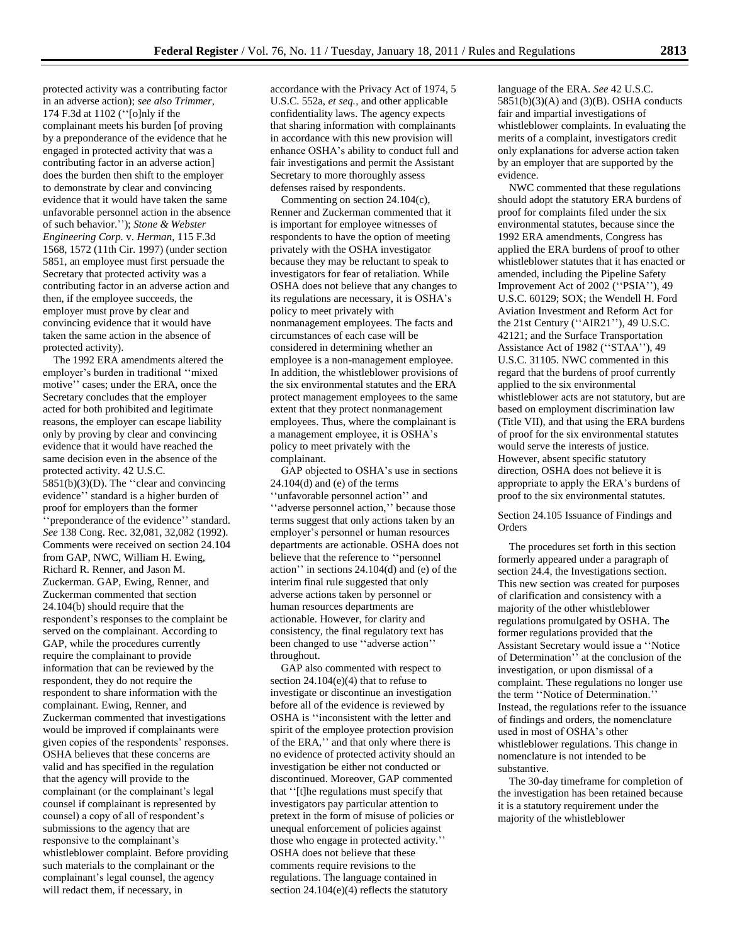protected activity was a contributing factor in an adverse action); *see also Trimmer,*  174 F.3d at 1102 (''[o]nly if the complainant meets his burden [of proving by a preponderance of the evidence that he engaged in protected activity that was a contributing factor in an adverse action] does the burden then shift to the employer to demonstrate by clear and convincing evidence that it would have taken the same unfavorable personnel action in the absence of such behavior.''); *Stone & Webster Engineering Corp.* v. *Herman,* 115 F.3d 1568, 1572 (11th Cir. 1997) (under section 5851, an employee must first persuade the Secretary that protected activity was a contributing factor in an adverse action and then, if the employee succeeds, the employer must prove by clear and convincing evidence that it would have taken the same action in the absence of protected activity).

The 1992 ERA amendments altered the employer's burden in traditional ''mixed motive'' cases; under the ERA, once the Secretary concludes that the employer acted for both prohibited and legitimate reasons, the employer can escape liability only by proving by clear and convincing evidence that it would have reached the same decision even in the absence of the protected activity. 42 U.S.C. 5851(b)(3)(D). The ''clear and convincing evidence'' standard is a higher burden of proof for employers than the former ''preponderance of the evidence'' standard. *See* 138 Cong. Rec. 32,081, 32,082 (1992). Comments were received on section 24.104 from GAP, NWC, William H. Ewing, Richard R. Renner, and Jason M. Zuckerman. GAP, Ewing, Renner, and Zuckerman commented that section 24.104(b) should require that the respondent's responses to the complaint be served on the complainant. According to GAP, while the procedures currently require the complainant to provide information that can be reviewed by the respondent, they do not require the respondent to share information with the complainant. Ewing, Renner, and Zuckerman commented that investigations would be improved if complainants were given copies of the respondents' responses. OSHA believes that these concerns are valid and has specified in the regulation that the agency will provide to the complainant (or the complainant's legal counsel if complainant is represented by counsel) a copy of all of respondent's submissions to the agency that are responsive to the complainant's whistleblower complaint. Before providing such materials to the complainant or the complainant's legal counsel, the agency will redact them, if necessary, in

accordance with the Privacy Act of 1974, 5 U.S.C. 552a, *et seq.,* and other applicable confidentiality laws. The agency expects that sharing information with complainants in accordance with this new provision will enhance OSHA's ability to conduct full and fair investigations and permit the Assistant Secretary to more thoroughly assess defenses raised by respondents.

Commenting on section 24.104(c), Renner and Zuckerman commented that it is important for employee witnesses of respondents to have the option of meeting privately with the OSHA investigator because they may be reluctant to speak to investigators for fear of retaliation. While OSHA does not believe that any changes to its regulations are necessary, it is OSHA's policy to meet privately with nonmanagement employees. The facts and circumstances of each case will be considered in determining whether an employee is a non-management employee. In addition, the whistleblower provisions of the six environmental statutes and the ERA protect management employees to the same extent that they protect nonmanagement employees. Thus, where the complainant is a management employee, it is OSHA's policy to meet privately with the complainant.

GAP objected to OSHA's use in sections  $24.104(d)$  and (e) of the terms ''unfavorable personnel action'' and ''adverse personnel action,'' because those terms suggest that only actions taken by an employer's personnel or human resources departments are actionable. OSHA does not believe that the reference to ''personnel action'' in sections 24.104(d) and (e) of the interim final rule suggested that only adverse actions taken by personnel or human resources departments are actionable. However, for clarity and consistency, the final regulatory text has been changed to use ''adverse action'' throughout.

GAP also commented with respect to section 24.104(e)(4) that to refuse to investigate or discontinue an investigation before all of the evidence is reviewed by OSHA is ''inconsistent with the letter and spirit of the employee protection provision of the ERA,'' and that only where there is no evidence of protected activity should an investigation be either not conducted or discontinued. Moreover, GAP commented that ''[t]he regulations must specify that investigators pay particular attention to pretext in the form of misuse of policies or unequal enforcement of policies against those who engage in protected activity.'' OSHA does not believe that these comments require revisions to the regulations. The language contained in section 24.104(e)(4) reflects the statutory

language of the ERA. *See* 42 U.S.C. 5851(b)(3)(A) and (3)(B). OSHA conducts fair and impartial investigations of whistleblower complaints. In evaluating the merits of a complaint, investigators credit only explanations for adverse action taken by an employer that are supported by the evidence.

NWC commented that these regulations should adopt the statutory ERA burdens of proof for complaints filed under the six environmental statutes, because since the 1992 ERA amendments, Congress has applied the ERA burdens of proof to other whistleblower statutes that it has enacted or amended, including the Pipeline Safety Improvement Act of 2002 (''PSIA''), 49 U.S.C. 60129; SOX; the Wendell H. Ford Aviation Investment and Reform Act for the 21st Century (''AIR21''), 49 U.S.C. 42121; and the Surface Transportation Assistance Act of 1982 (''STAA''), 49 U.S.C. 31105. NWC commented in this regard that the burdens of proof currently applied to the six environmental whistleblower acts are not statutory, but are based on employment discrimination law (Title VII), and that using the ERA burdens of proof for the six environmental statutes would serve the interests of justice. However, absent specific statutory direction, OSHA does not believe it is appropriate to apply the ERA's burdens of proof to the six environmental statutes.

Section 24.105 Issuance of Findings and **Orders** 

The procedures set forth in this section formerly appeared under a paragraph of section 24.4, the Investigations section. This new section was created for purposes of clarification and consistency with a majority of the other whistleblower regulations promulgated by OSHA. The former regulations provided that the Assistant Secretary would issue a ''Notice of Determination'' at the conclusion of the investigation, or upon dismissal of a complaint. These regulations no longer use the term ''Notice of Determination.'' Instead, the regulations refer to the issuance of findings and orders, the nomenclature used in most of OSHA's other whistleblower regulations. This change in nomenclature is not intended to be substantive.

The 30-day timeframe for completion of the investigation has been retained because it is a statutory requirement under the majority of the whistleblower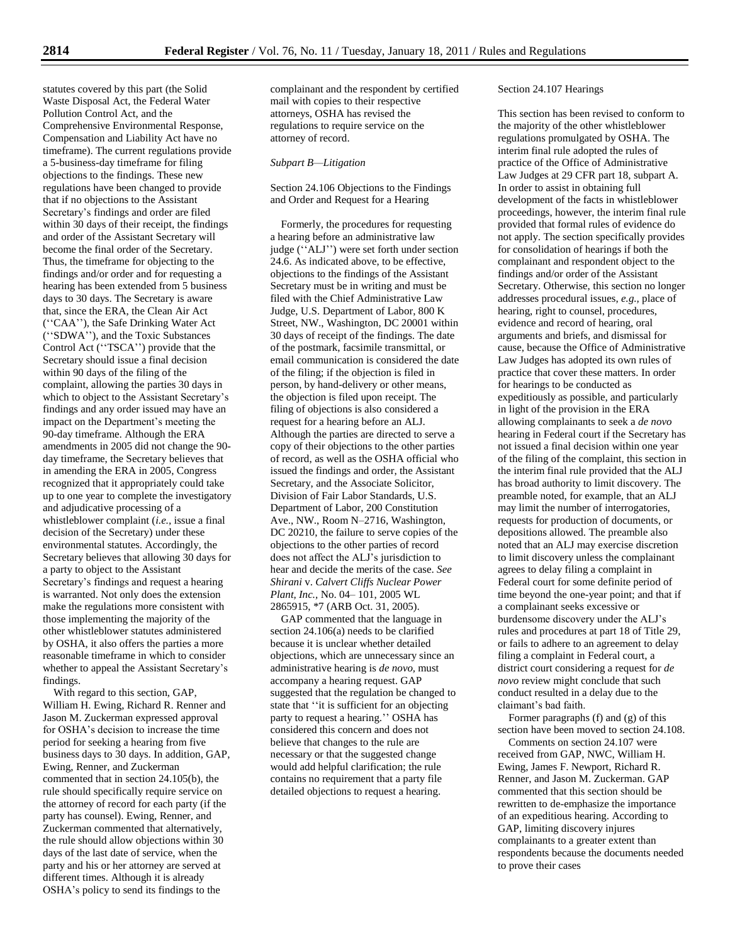statutes covered by this part (the Solid Waste Disposal Act, the Federal Water Pollution Control Act, and the Comprehensive Environmental Response, Compensation and Liability Act have no timeframe). The current regulations provide a 5-business-day timeframe for filing objections to the findings. These new regulations have been changed to provide that if no objections to the Assistant Secretary's findings and order are filed within 30 days of their receipt, the findings and order of the Assistant Secretary will become the final order of the Secretary. Thus, the timeframe for objecting to the findings and/or order and for requesting a hearing has been extended from 5 business days to 30 days. The Secretary is aware that, since the ERA, the Clean Air Act (''CAA''), the Safe Drinking Water Act (''SDWA''), and the Toxic Substances Control Act (''TSCA'') provide that the Secretary should issue a final decision within 90 days of the filing of the complaint, allowing the parties 30 days in which to object to the Assistant Secretary's findings and any order issued may have an impact on the Department's meeting the 90-day timeframe. Although the ERA amendments in 2005 did not change the 90 day timeframe, the Secretary believes that in amending the ERA in 2005, Congress recognized that it appropriately could take up to one year to complete the investigatory and adjudicative processing of a whistleblower complaint (*i.e.,* issue a final decision of the Secretary) under these environmental statutes. Accordingly, the Secretary believes that allowing 30 days for a party to object to the Assistant Secretary's findings and request a hearing is warranted. Not only does the extension make the regulations more consistent with those implementing the majority of the other whistleblower statutes administered by OSHA, it also offers the parties a more reasonable timeframe in which to consider whether to appeal the Assistant Secretary's findings.

With regard to this section, GAP, William H. Ewing, Richard R. Renner and Jason M. Zuckerman expressed approval for OSHA's decision to increase the time period for seeking a hearing from five business days to 30 days. In addition, GAP, Ewing, Renner, and Zuckerman commented that in section 24.105(b), the rule should specifically require service on the attorney of record for each party (if the party has counsel). Ewing, Renner, and Zuckerman commented that alternatively, the rule should allow objections within 30 days of the last date of service, when the party and his or her attorney are served at different times. Although it is already OSHA's policy to send its findings to the

complainant and the respondent by certified mail with copies to their respective attorneys, OSHA has revised the regulations to require service on the attorney of record.

## *Subpart B—Litigation*

Section 24.106 Objections to the Findings and Order and Request for a Hearing

Formerly, the procedures for requesting a hearing before an administrative law judge (''ALJ'') were set forth under section 24.6. As indicated above, to be effective, objections to the findings of the Assistant Secretary must be in writing and must be filed with the Chief Administrative Law Judge, U.S. Department of Labor, 800 K Street, NW., Washington, DC 20001 within 30 days of receipt of the findings. The date of the postmark, facsimile transmittal, or email communication is considered the date of the filing; if the objection is filed in person, by hand-delivery or other means, the objection is filed upon receipt. The filing of objections is also considered a request for a hearing before an ALJ. Although the parties are directed to serve a copy of their objections to the other parties of record, as well as the OSHA official who issued the findings and order, the Assistant Secretary, and the Associate Solicitor, Division of Fair Labor Standards, U.S. Department of Labor, 200 Constitution Ave., NW., Room N–2716, Washington, DC 20210, the failure to serve copies of the objections to the other parties of record does not affect the ALJ's jurisdiction to hear and decide the merits of the case. *See Shirani* v. *Calvert Cliffs Nuclear Power Plant, Inc.,* No. 04– 101, 2005 WL 2865915, \*7 (ARB Oct. 31, 2005).

GAP commented that the language in section 24.106(a) needs to be clarified because it is unclear whether detailed objections, which are unnecessary since an administrative hearing is *de novo,* must accompany a hearing request. GAP suggested that the regulation be changed to state that ''it is sufficient for an objecting party to request a hearing.'' OSHA has considered this concern and does not believe that changes to the rule are necessary or that the suggested change would add helpful clarification; the rule contains no requirement that a party file detailed objections to request a hearing.

## Section 24.107 Hearings

This section has been revised to conform to the majority of the other whistleblower regulations promulgated by OSHA. The interim final rule adopted the rules of practice of the Office of Administrative Law Judges at 29 CFR part 18, subpart A. In order to assist in obtaining full development of the facts in whistleblower proceedings, however, the interim final rule provided that formal rules of evidence do not apply. The section specifically provides for consolidation of hearings if both the complainant and respondent object to the findings and/or order of the Assistant Secretary. Otherwise, this section no longer addresses procedural issues, *e.g.,* place of hearing, right to counsel, procedures, evidence and record of hearing, oral arguments and briefs, and dismissal for cause, because the Office of Administrative Law Judges has adopted its own rules of practice that cover these matters. In order for hearings to be conducted as expeditiously as possible, and particularly in light of the provision in the ERA allowing complainants to seek a *de novo*  hearing in Federal court if the Secretary has not issued a final decision within one year of the filing of the complaint, this section in the interim final rule provided that the ALJ has broad authority to limit discovery. The preamble noted, for example, that an ALJ may limit the number of interrogatories, requests for production of documents, or depositions allowed. The preamble also noted that an ALJ may exercise discretion to limit discovery unless the complainant agrees to delay filing a complaint in Federal court for some definite period of time beyond the one-year point; and that if a complainant seeks excessive or burdensome discovery under the ALJ's rules and procedures at part 18 of Title 29, or fails to adhere to an agreement to delay filing a complaint in Federal court, a district court considering a request for *de novo* review might conclude that such conduct resulted in a delay due to the claimant's bad faith.

Former paragraphs (f) and (g) of this section have been moved to section 24.108.

Comments on section 24.107 were received from GAP, NWC, William H. Ewing, James F. Newport, Richard R. Renner, and Jason M. Zuckerman. GAP commented that this section should be rewritten to de-emphasize the importance of an expeditious hearing. According to GAP, limiting discovery injures complainants to a greater extent than respondents because the documents needed to prove their cases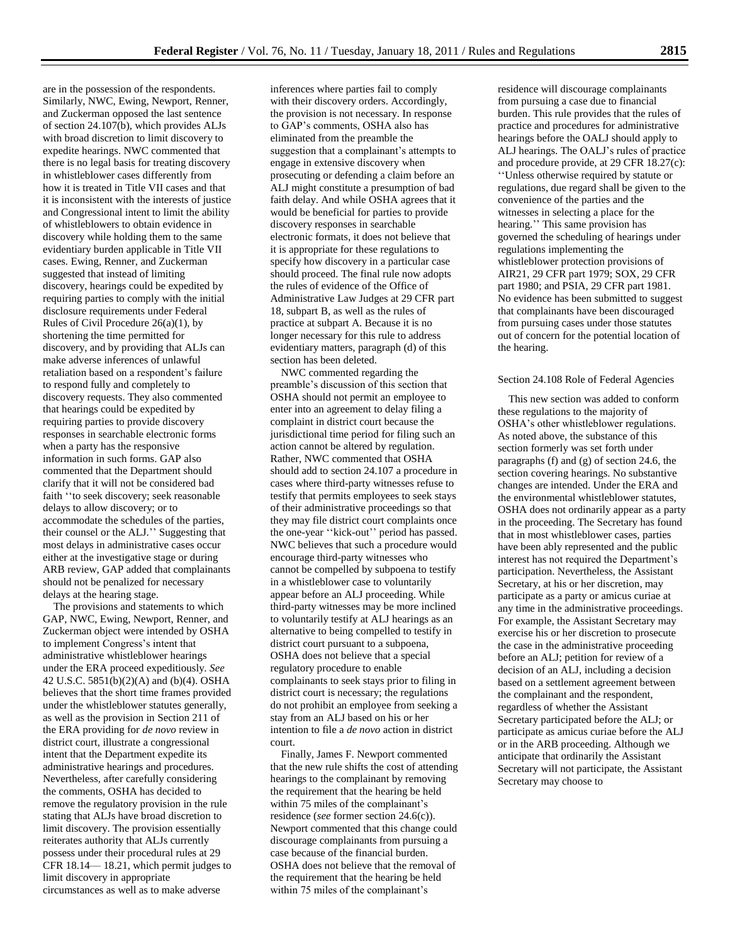are in the possession of the respondents. Similarly, NWC, Ewing, Newport, Renner, and Zuckerman opposed the last sentence of section 24.107(b), which provides ALJs with broad discretion to limit discovery to expedite hearings. NWC commented that there is no legal basis for treating discovery in whistleblower cases differently from how it is treated in Title VII cases and that it is inconsistent with the interests of justice and Congressional intent to limit the ability of whistleblowers to obtain evidence in discovery while holding them to the same evidentiary burden applicable in Title VII cases. Ewing, Renner, and Zuckerman suggested that instead of limiting discovery, hearings could be expedited by requiring parties to comply with the initial disclosure requirements under Federal Rules of Civil Procedure 26(a)(1), by shortening the time permitted for discovery, and by providing that ALJs can make adverse inferences of unlawful retaliation based on a respondent's failure to respond fully and completely to discovery requests. They also commented that hearings could be expedited by requiring parties to provide discovery responses in searchable electronic forms when a party has the responsive information in such forms. GAP also commented that the Department should clarify that it will not be considered bad faith ''to seek discovery; seek reasonable delays to allow discovery; or to accommodate the schedules of the parties, their counsel or the ALJ.'' Suggesting that most delays in administrative cases occur either at the investigative stage or during ARB review, GAP added that complainants should not be penalized for necessary delays at the hearing stage.

The provisions and statements to which GAP, NWC, Ewing, Newport, Renner, and Zuckerman object were intended by OSHA to implement Congress's intent that administrative whistleblower hearings under the ERA proceed expeditiously. *See*  42 U.S.C. 5851(b)(2)(A) and (b)(4). OSHA believes that the short time frames provided under the whistleblower statutes generally, as well as the provision in Section 211 of the ERA providing for *de novo* review in district court, illustrate a congressional intent that the Department expedite its administrative hearings and procedures. Nevertheless, after carefully considering the comments, OSHA has decided to remove the regulatory provision in the rule stating that ALJs have broad discretion to limit discovery. The provision essentially reiterates authority that ALJs currently possess under their procedural rules at 29 CFR 18.14— 18.21, which permit judges to limit discovery in appropriate circumstances as well as to make adverse

inferences where parties fail to comply with their discovery orders. Accordingly, the provision is not necessary. In response to GAP's comments, OSHA also has eliminated from the preamble the suggestion that a complainant's attempts to engage in extensive discovery when prosecuting or defending a claim before an ALJ might constitute a presumption of bad faith delay. And while OSHA agrees that it would be beneficial for parties to provide discovery responses in searchable electronic formats, it does not believe that it is appropriate for these regulations to specify how discovery in a particular case should proceed. The final rule now adopts the rules of evidence of the Office of Administrative Law Judges at 29 CFR part 18, subpart B, as well as the rules of practice at subpart A. Because it is no longer necessary for this rule to address evidentiary matters, paragraph (d) of this section has been deleted.

NWC commented regarding the preamble's discussion of this section that OSHA should not permit an employee to enter into an agreement to delay filing a complaint in district court because the jurisdictional time period for filing such an action cannot be altered by regulation. Rather, NWC commented that OSHA should add to section 24.107 a procedure in cases where third-party witnesses refuse to testify that permits employees to seek stays of their administrative proceedings so that they may file district court complaints once the one-year ''kick-out'' period has passed. NWC believes that such a procedure would encourage third-party witnesses who cannot be compelled by subpoena to testify in a whistleblower case to voluntarily appear before an ALJ proceeding. While third-party witnesses may be more inclined to voluntarily testify at ALJ hearings as an alternative to being compelled to testify in district court pursuant to a subpoena, OSHA does not believe that a special regulatory procedure to enable complainants to seek stays prior to filing in district court is necessary; the regulations do not prohibit an employee from seeking a stay from an ALJ based on his or her intention to file a *de novo* action in district court.

Finally, James F. Newport commented that the new rule shifts the cost of attending hearings to the complainant by removing the requirement that the hearing be held within 75 miles of the complainant's residence (*see* former section 24.6(c)). Newport commented that this change could discourage complainants from pursuing a case because of the financial burden. OSHA does not believe that the removal of the requirement that the hearing be held within 75 miles of the complainant's

residence will discourage complainants from pursuing a case due to financial burden. This rule provides that the rules of practice and procedures for administrative hearings before the OALJ should apply to ALJ hearings. The OALJ's rules of practice and procedure provide, at 29 CFR 18.27(c): ''Unless otherwise required by statute or regulations, due regard shall be given to the convenience of the parties and the witnesses in selecting a place for the hearing.'' This same provision has governed the scheduling of hearings under regulations implementing the whistleblower protection provisions of AIR21, 29 CFR part 1979; SOX, 29 CFR part 1980; and PSIA, 29 CFR part 1981. No evidence has been submitted to suggest that complainants have been discouraged from pursuing cases under those statutes out of concern for the potential location of the hearing.

#### Section 24.108 Role of Federal Agencies

This new section was added to conform these regulations to the majority of OSHA's other whistleblower regulations. As noted above, the substance of this section formerly was set forth under paragraphs (f) and (g) of section 24.6, the section covering hearings. No substantive changes are intended. Under the ERA and the environmental whistleblower statutes, OSHA does not ordinarily appear as a party in the proceeding. The Secretary has found that in most whistleblower cases, parties have been ably represented and the public interest has not required the Department's participation. Nevertheless, the Assistant Secretary, at his or her discretion, may participate as a party or amicus curiae at any time in the administrative proceedings. For example, the Assistant Secretary may exercise his or her discretion to prosecute the case in the administrative proceeding before an ALJ; petition for review of a decision of an ALJ, including a decision based on a settlement agreement between the complainant and the respondent, regardless of whether the Assistant Secretary participated before the ALJ; or participate as amicus curiae before the ALJ or in the ARB proceeding. Although we anticipate that ordinarily the Assistant Secretary will not participate, the Assistant Secretary may choose to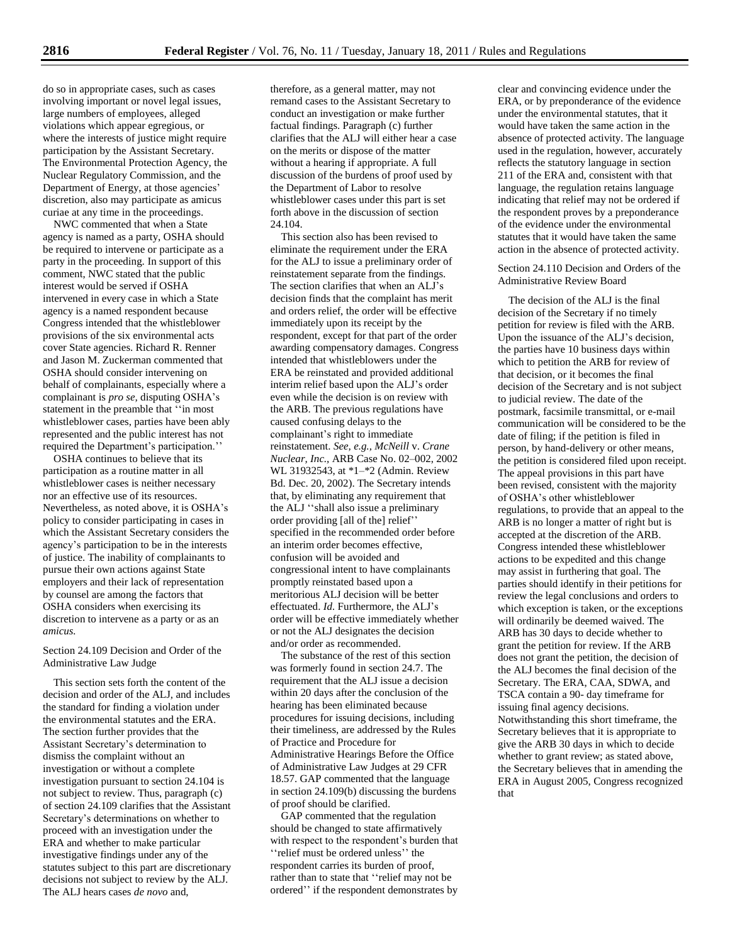do so in appropriate cases, such as cases involving important or novel legal issues, large numbers of employees, alleged violations which appear egregious, or where the interests of justice might require participation by the Assistant Secretary. The Environmental Protection Agency, the Nuclear Regulatory Commission, and the Department of Energy, at those agencies' discretion, also may participate as amicus curiae at any time in the proceedings.

NWC commented that when a State agency is named as a party, OSHA should be required to intervene or participate as a party in the proceeding. In support of this comment, NWC stated that the public interest would be served if OSHA intervened in every case in which a State agency is a named respondent because Congress intended that the whistleblower provisions of the six environmental acts cover State agencies. Richard R. Renner and Jason M. Zuckerman commented that OSHA should consider intervening on behalf of complainants, especially where a complainant is *pro se,* disputing OSHA's statement in the preamble that ''in most whistleblower cases, parties have been ably represented and the public interest has not required the Department's participation.''

OSHA continues to believe that its participation as a routine matter in all whistleblower cases is neither necessary nor an effective use of its resources. Nevertheless, as noted above, it is OSHA's policy to consider participating in cases in which the Assistant Secretary considers the agency's participation to be in the interests of justice. The inability of complainants to pursue their own actions against State employers and their lack of representation by counsel are among the factors that OSHA considers when exercising its discretion to intervene as a party or as an *amicus.*

## Section 24.109 Decision and Order of the Administrative Law Judge

This section sets forth the content of the decision and order of the ALJ, and includes the standard for finding a violation under the environmental statutes and the ERA. The section further provides that the Assistant Secretary's determination to dismiss the complaint without an investigation or without a complete investigation pursuant to section 24.104 is not subject to review. Thus, paragraph (c) of section 24.109 clarifies that the Assistant Secretary's determinations on whether to proceed with an investigation under the ERA and whether to make particular investigative findings under any of the statutes subject to this part are discretionary decisions not subject to review by the ALJ. The ALJ hears cases *de novo* and,

therefore, as a general matter, may not remand cases to the Assistant Secretary to conduct an investigation or make further factual findings. Paragraph (c) further clarifies that the ALJ will either hear a case on the merits or dispose of the matter without a hearing if appropriate. A full discussion of the burdens of proof used by the Department of Labor to resolve whistleblower cases under this part is set forth above in the discussion of section 24.104.

This section also has been revised to eliminate the requirement under the ERA for the ALJ to issue a preliminary order of reinstatement separate from the findings. The section clarifies that when an ALJ's decision finds that the complaint has merit and orders relief, the order will be effective immediately upon its receipt by the respondent, except for that part of the order awarding compensatory damages. Congress intended that whistleblowers under the ERA be reinstated and provided additional interim relief based upon the ALJ's order even while the decision is on review with the ARB. The previous regulations have caused confusing delays to the complainant's right to immediate reinstatement. *See, e.g., McNeill* v. *Crane Nuclear, Inc.,* ARB Case No. 02–002, 2002 WL 31932543, at \*1–\*2 (Admin. Review Bd. Dec. 20, 2002). The Secretary intends that, by eliminating any requirement that the ALJ ''shall also issue a preliminary order providing [all of the] relief'' specified in the recommended order before an interim order becomes effective, confusion will be avoided and congressional intent to have complainants promptly reinstated based upon a meritorious ALJ decision will be better effectuated. *Id.* Furthermore, the ALJ's order will be effective immediately whether or not the ALJ designates the decision and/or order as recommended.

The substance of the rest of this section was formerly found in section 24.7. The requirement that the ALJ issue a decision within 20 days after the conclusion of the hearing has been eliminated because procedures for issuing decisions, including their timeliness, are addressed by the Rules of Practice and Procedure for Administrative Hearings Before the Office of Administrative Law Judges at 29 CFR 18.57. GAP commented that the language in section 24.109(b) discussing the burdens of proof should be clarified.

GAP commented that the regulation should be changed to state affirmatively with respect to the respondent's burden that ''relief must be ordered unless'' the respondent carries its burden of proof, rather than to state that ''relief may not be ordered'' if the respondent demonstrates by

clear and convincing evidence under the ERA, or by preponderance of the evidence under the environmental statutes, that it would have taken the same action in the absence of protected activity. The language used in the regulation, however, accurately reflects the statutory language in section 211 of the ERA and, consistent with that language, the regulation retains language indicating that relief may not be ordered if the respondent proves by a preponderance of the evidence under the environmental statutes that it would have taken the same action in the absence of protected activity.

Section 24.110 Decision and Orders of the Administrative Review Board

The decision of the ALJ is the final decision of the Secretary if no timely petition for review is filed with the ARB. Upon the issuance of the ALJ's decision, the parties have 10 business days within which to petition the ARB for review of that decision, or it becomes the final decision of the Secretary and is not subject to judicial review. The date of the postmark, facsimile transmittal, or e-mail communication will be considered to be the date of filing; if the petition is filed in person, by hand-delivery or other means, the petition is considered filed upon receipt. The appeal provisions in this part have been revised, consistent with the majority of OSHA's other whistleblower regulations, to provide that an appeal to the ARB is no longer a matter of right but is accepted at the discretion of the ARB. Congress intended these whistleblower actions to be expedited and this change may assist in furthering that goal. The parties should identify in their petitions for review the legal conclusions and orders to which exception is taken, or the exceptions will ordinarily be deemed waived. The ARB has 30 days to decide whether to grant the petition for review. If the ARB does not grant the petition, the decision of the ALJ becomes the final decision of the Secretary. The ERA, CAA, SDWA, and TSCA contain a 90- day timeframe for issuing final agency decisions. Notwithstanding this short timeframe, the Secretary believes that it is appropriate to give the ARB 30 days in which to decide whether to grant review; as stated above, the Secretary believes that in amending the ERA in August 2005, Congress recognized that VerDate Mar<15>2010 13:37 Jan 14, 2011 Jkt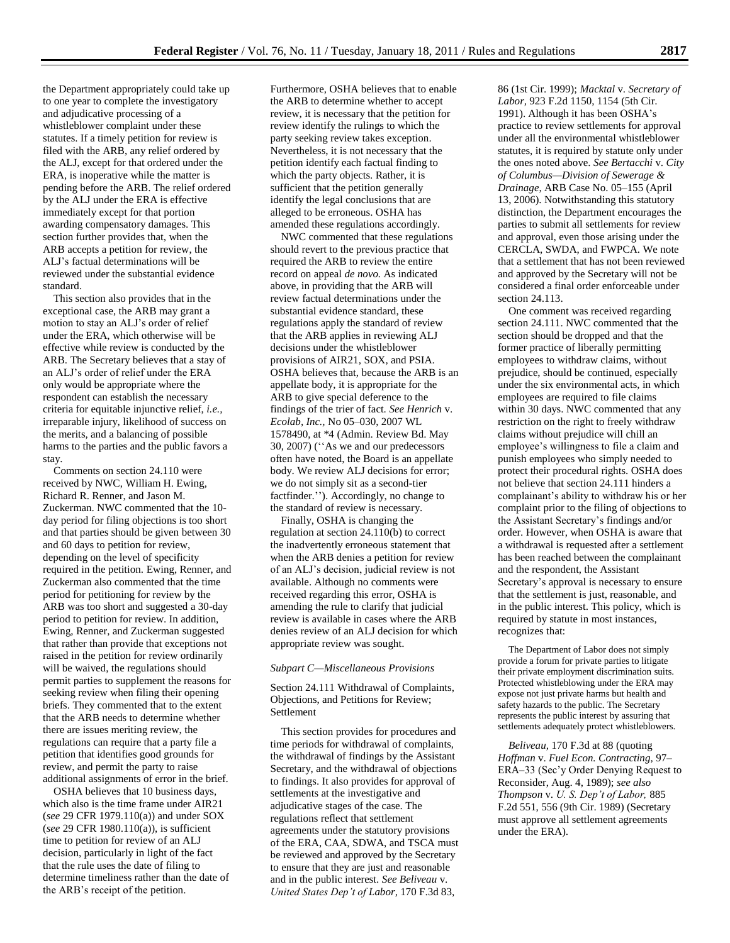the Department appropriately could take up to one year to complete the investigatory and adjudicative processing of a whistleblower complaint under these statutes. If a timely petition for review is filed with the ARB, any relief ordered by the ALJ, except for that ordered under the ERA, is inoperative while the matter is pending before the ARB. The relief ordered by the ALJ under the ERA is effective immediately except for that portion awarding compensatory damages. This section further provides that, when the ARB accepts a petition for review, the ALJ's factual determinations will be reviewed under the substantial evidence standard.

This section also provides that in the exceptional case, the ARB may grant a motion to stay an ALJ's order of relief under the ERA, which otherwise will be effective while review is conducted by the ARB. The Secretary believes that a stay of an ALJ's order of relief under the ERA only would be appropriate where the respondent can establish the necessary criteria for equitable injunctive relief, *i.e.,*  irreparable injury, likelihood of success on the merits, and a balancing of possible harms to the parties and the public favors a stay.

Comments on section 24.110 were received by NWC, William H. Ewing, Richard R. Renner, and Jason M. Zuckerman. NWC commented that the 10 day period for filing objections is too short and that parties should be given between 30 and 60 days to petition for review, depending on the level of specificity required in the petition. Ewing, Renner, and Zuckerman also commented that the time period for petitioning for review by the ARB was too short and suggested a 30-day period to petition for review. In addition, Ewing, Renner, and Zuckerman suggested that rather than provide that exceptions not raised in the petition for review ordinarily will be waived, the regulations should permit parties to supplement the reasons for seeking review when filing their opening briefs. They commented that to the extent that the ARB needs to determine whether there are issues meriting review, the regulations can require that a party file a petition that identifies good grounds for review, and permit the party to raise additional assignments of error in the brief.

OSHA believes that 10 business days, which also is the time frame under AIR21 (*see* 29 CFR 1979.110(a)) and under SOX (*see* 29 CFR 1980.110(a)), is sufficient time to petition for review of an ALJ decision, particularly in light of the fact that the rule uses the date of filing to determine timeliness rather than the date of the ARB's receipt of the petition.

Furthermore, OSHA believes that to enable the ARB to determine whether to accept review, it is necessary that the petition for review identify the rulings to which the party seeking review takes exception. Nevertheless, it is not necessary that the petition identify each factual finding to which the party objects. Rather, it is sufficient that the petition generally identify the legal conclusions that are alleged to be erroneous. OSHA has amended these regulations accordingly.

NWC commented that these regulations should revert to the previous practice that required the ARB to review the entire record on appeal *de novo.* As indicated above, in providing that the ARB will review factual determinations under the substantial evidence standard, these regulations apply the standard of review that the ARB applies in reviewing ALJ decisions under the whistleblower provisions of AIR21, SOX, and PSIA. OSHA believes that, because the ARB is an appellate body, it is appropriate for the ARB to give special deference to the findings of the trier of fact. *See Henrich* v. *Ecolab, Inc.,* No 05–030, 2007 WL 1578490, at \*4 (Admin. Review Bd. May 30, 2007) (''As we and our predecessors often have noted, the Board is an appellate body. We review ALJ decisions for error; we do not simply sit as a second-tier factfinder.''). Accordingly, no change to the standard of review is necessary.

Finally, OSHA is changing the regulation at section 24.110(b) to correct the inadvertently erroneous statement that when the ARB denies a petition for review of an ALJ's decision, judicial review is not available. Although no comments were received regarding this error, OSHA is amending the rule to clarify that judicial review is available in cases where the ARB denies review of an ALJ decision for which appropriate review was sought.

#### *Subpart C—Miscellaneous Provisions*

Section 24.111 Withdrawal of Complaints, Objections, and Petitions for Review; Settlement

This section provides for procedures and time periods for withdrawal of complaints, the withdrawal of findings by the Assistant Secretary, and the withdrawal of objections to findings. It also provides for approval of settlements at the investigative and adjudicative stages of the case. The regulations reflect that settlement agreements under the statutory provisions of the ERA, CAA, SDWA, and TSCA must be reviewed and approved by the Secretary to ensure that they are just and reasonable and in the public interest. *See Beliveau* v. *United States Dep't of Labor,* 170 F.3d 83,

86 (1st Cir. 1999); *Macktal* v. *Secretary of Labor,* 923 F.2d 1150, 1154 (5th Cir. 1991). Although it has been OSHA's practice to review settlements for approval under all the environmental whistleblower statutes, it is required by statute only under the ones noted above. *See Bertacchi* v. *City of Columbus—Division of Sewerage & Drainage,* ARB Case No. 05–155 (April 13, 2006). Notwithstanding this statutory distinction, the Department encourages the parties to submit all settlements for review and approval, even those arising under the CERCLA, SWDA, and FWPCA. We note that a settlement that has not been reviewed and approved by the Secretary will not be considered a final order enforceable under section 24.113

One comment was received regarding section 24.111. NWC commented that the section should be dropped and that the former practice of liberally permitting employees to withdraw claims, without prejudice, should be continued, especially under the six environmental acts, in which employees are required to file claims within 30 days. NWC commented that any restriction on the right to freely withdraw claims without prejudice will chill an employee's willingness to file a claim and punish employees who simply needed to protect their procedural rights. OSHA does not believe that section 24.111 hinders a complainant's ability to withdraw his or her complaint prior to the filing of objections to the Assistant Secretary's findings and/or order. However, when OSHA is aware that a withdrawal is requested after a settlement has been reached between the complainant and the respondent, the Assistant Secretary's approval is necessary to ensure that the settlement is just, reasonable, and in the public interest. This policy, which is required by statute in most instances, recognizes that:

The Department of Labor does not simply provide a forum for private parties to litigate their private employment discrimination suits. Protected whistleblowing under the ERA may expose not just private harms but health and safety hazards to the public. The Secretary represents the public interest by assuring that settlements adequately protect whistleblowers.

*Beliveau,* 170 F.3d at 88 (quoting *Hoffman* v. *Fuel Econ. Contracting,* 97– ERA–33 (Sec'y Order Denying Request to Reconsider, Aug. 4, 1989); *see also Thompson* v. *U. S. Dep't of Labor,* 885 F.2d 551, 556 (9th Cir. 1989) (Secretary must approve all settlement agreements under the ERA).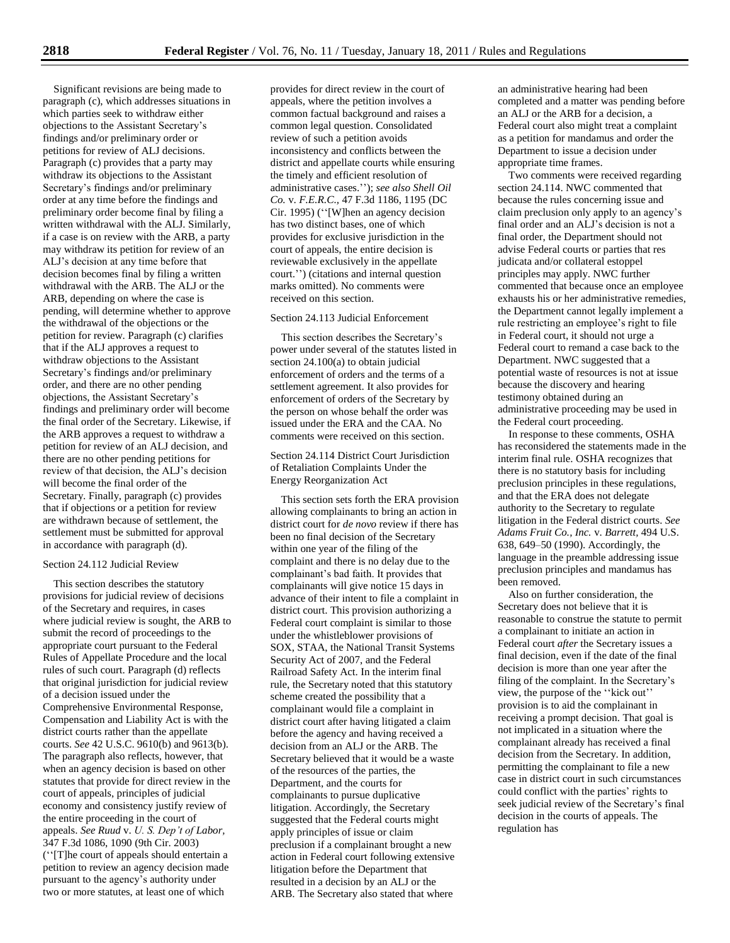Significant revisions are being made to paragraph (c), which addresses situations in which parties seek to withdraw either objections to the Assistant Secretary's findings and/or preliminary order or petitions for review of ALJ decisions. Paragraph (c) provides that a party may withdraw its objections to the Assistant Secretary's findings and/or preliminary order at any time before the findings and preliminary order become final by filing a written withdrawal with the ALJ. Similarly, if a case is on review with the ARB, a party may withdraw its petition for review of an ALJ's decision at any time before that decision becomes final by filing a written withdrawal with the ARB. The ALJ or the ARB, depending on where the case is pending, will determine whether to approve the withdrawal of the objections or the petition for review. Paragraph (c) clarifies that if the ALJ approves a request to withdraw objections to the Assistant Secretary's findings and/or preliminary order, and there are no other pending objections, the Assistant Secretary's findings and preliminary order will become the final order of the Secretary. Likewise, if the ARB approves a request to withdraw a petition for review of an ALJ decision, and there are no other pending petitions for review of that decision, the ALJ's decision will become the final order of the Secretary. Finally, paragraph (c) provides that if objections or a petition for review are withdrawn because of settlement, the settlement must be submitted for approval in accordance with paragraph (d).

#### Section 24.112 Judicial Review

This section describes the statutory provisions for judicial review of decisions of the Secretary and requires, in cases where judicial review is sought, the ARB to submit the record of proceedings to the appropriate court pursuant to the Federal Rules of Appellate Procedure and the local rules of such court. Paragraph (d) reflects that original jurisdiction for judicial review of a decision issued under the Comprehensive Environmental Response, Compensation and Liability Act is with the district courts rather than the appellate courts. *See* 42 U.S.C. 9610(b) and 9613(b). The paragraph also reflects, however, that when an agency decision is based on other statutes that provide for direct review in the court of appeals, principles of judicial economy and consistency justify review of the entire proceeding in the court of appeals. *See Ruud* v. *U. S. Dep't of Labor,*  347 F.3d 1086, 1090 (9th Cir. 2003) (''[T]he court of appeals should entertain a petition to review an agency decision made pursuant to the agency's authority under two or more statutes, at least one of which

provides for direct review in the court of appeals, where the petition involves a common factual background and raises a common legal question. Consolidated review of such a petition avoids inconsistency and conflicts between the district and appellate courts while ensuring the timely and efficient resolution of administrative cases.''); *see also Shell Oil Co.* v. *F.E.R.C.,* 47 F.3d 1186, 1195 (DC Cir. 1995) (''[W]hen an agency decision has two distinct bases, one of which provides for exclusive jurisdiction in the court of appeals, the entire decision is reviewable exclusively in the appellate court.'') (citations and internal question marks omitted). No comments were received on this section.

## Section 24.113 Judicial Enforcement

This section describes the Secretary's power under several of the statutes listed in section 24.100(a) to obtain judicial enforcement of orders and the terms of a settlement agreement. It also provides for enforcement of orders of the Secretary by the person on whose behalf the order was issued under the ERA and the CAA. No comments were received on this section.

Section 24.114 District Court Jurisdiction of Retaliation Complaints Under the Energy Reorganization Act

This section sets forth the ERA provision allowing complainants to bring an action in district court for *de novo* review if there has been no final decision of the Secretary within one year of the filing of the complaint and there is no delay due to the complainant's bad faith. It provides that complainants will give notice 15 days in advance of their intent to file a complaint in district court. This provision authorizing a Federal court complaint is similar to those under the whistleblower provisions of SOX, STAA, the National Transit Systems Security Act of 2007, and the Federal Railroad Safety Act. In the interim final rule, the Secretary noted that this statutory scheme created the possibility that a complainant would file a complaint in district court after having litigated a claim before the agency and having received a decision from an ALJ or the ARB. The Secretary believed that it would be a waste of the resources of the parties, the Department, and the courts for complainants to pursue duplicative litigation. Accordingly, the Secretary suggested that the Federal courts might apply principles of issue or claim preclusion if a complainant brought a new action in Federal court following extensive litigation before the Department that resulted in a decision by an ALJ or the ARB. The Secretary also stated that where

an administrative hearing had been completed and a matter was pending before an ALJ or the ARB for a decision, a Federal court also might treat a complaint as a petition for mandamus and order the Department to issue a decision under appropriate time frames.

Two comments were received regarding section 24.114. NWC commented that because the rules concerning issue and claim preclusion only apply to an agency's final order and an ALJ's decision is not a final order, the Department should not advise Federal courts or parties that res judicata and/or collateral estoppel principles may apply. NWC further commented that because once an employee exhausts his or her administrative remedies, the Department cannot legally implement a rule restricting an employee's right to file in Federal court, it should not urge a Federal court to remand a case back to the Department. NWC suggested that a potential waste of resources is not at issue because the discovery and hearing testimony obtained during an administrative proceeding may be used in the Federal court proceeding.

In response to these comments, OSHA has reconsidered the statements made in the interim final rule. OSHA recognizes that there is no statutory basis for including preclusion principles in these regulations, and that the ERA does not delegate authority to the Secretary to regulate litigation in the Federal district courts. *See Adams Fruit Co., Inc.* v. *Barrett,* 494 U.S. 638, 649–50 (1990). Accordingly, the language in the preamble addressing issue preclusion principles and mandamus has been removed.

Also on further consideration, the Secretary does not believe that it is reasonable to construe the statute to permit a complainant to initiate an action in Federal court *after* the Secretary issues a final decision, even if the date of the final decision is more than one year after the filing of the complaint. In the Secretary's view, the purpose of the ''kick out'' provision is to aid the complainant in receiving a prompt decision. That goal is not implicated in a situation where the complainant already has received a final decision from the Secretary. In addition, permitting the complainant to file a new case in district court in such circumstances could conflict with the parties' rights to seek judicial review of the Secretary's final decision in the courts of appeals. The regulation has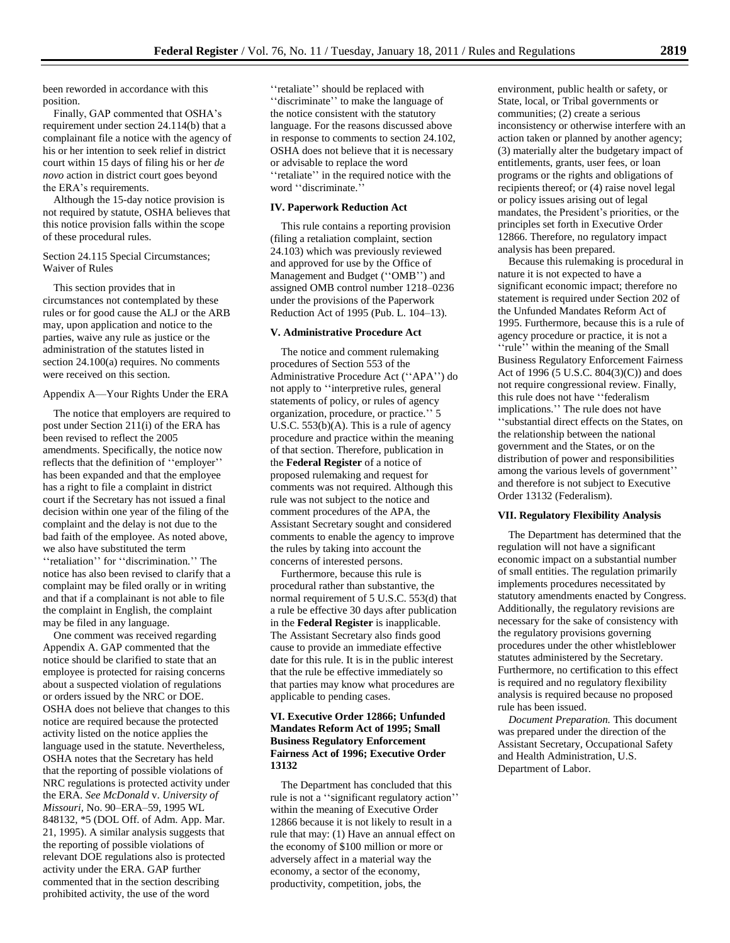been reworded in accordance with this position.

Finally, GAP commented that OSHA's requirement under section 24.114(b) that a complainant file a notice with the agency of his or her intention to seek relief in district court within 15 days of filing his or her *de novo* action in district court goes beyond the ERA's requirements.

Although the 15-day notice provision is not required by statute, OSHA believes that this notice provision falls within the scope of these procedural rules.

## Section 24.115 Special Circumstances; Waiver of Rules

This section provides that in circumstances not contemplated by these rules or for good cause the ALJ or the ARB may, upon application and notice to the parties, waive any rule as justice or the administration of the statutes listed in section 24.100(a) requires. No comments were received on this section.

## Appendix A—Your Rights Under the ERA

The notice that employers are required to post under Section 211(i) of the ERA has been revised to reflect the 2005 amendments. Specifically, the notice now reflects that the definition of ''employer'' has been expanded and that the employee has a right to file a complaint in district court if the Secretary has not issued a final decision within one year of the filing of the complaint and the delay is not due to the bad faith of the employee. As noted above, we also have substituted the term ''retaliation'' for ''discrimination.'' The

notice has also been revised to clarify that a complaint may be filed orally or in writing and that if a complainant is not able to file the complaint in English, the complaint may be filed in any language.

One comment was received regarding Appendix A. GAP commented that the notice should be clarified to state that an employee is protected for raising concerns about a suspected violation of regulations or orders issued by the NRC or DOE. OSHA does not believe that changes to this notice are required because the protected activity listed on the notice applies the language used in the statute. Nevertheless, OSHA notes that the Secretary has held that the reporting of possible violations of NRC regulations is protected activity under the ERA. *See McDonald* v. *University of Missouri,* No. 90–ERA–59, 1995 WL 848132, \*5 (DOL Off. of Adm. App. Mar. 21, 1995). A similar analysis suggests that the reporting of possible violations of relevant DOE regulations also is protected activity under the ERA. GAP further commented that in the section describing prohibited activity, the use of the word

''retaliate'' should be replaced with ''discriminate'' to make the language of the notice consistent with the statutory language. For the reasons discussed above in response to comments to section 24.102, OSHA does not believe that it is necessary or advisable to replace the word ''retaliate'' in the required notice with the word ''discriminate.''

#### **IV. Paperwork Reduction Act**

This rule contains a reporting provision (filing a retaliation complaint, section 24.103) which was previously reviewed and approved for use by the Office of Management and Budget (''OMB'') and assigned OMB control number 1218–0236 under the provisions of the Paperwork Reduction Act of 1995 (Pub. L. 104–13).

#### **V. Administrative Procedure Act**

The notice and comment rulemaking procedures of Section 553 of the Administrative Procedure Act (''APA'') do not apply to ''interpretive rules, general statements of policy, or rules of agency organization, procedure, or practice.'' 5 U.S.C. 553(b)(A). This is a rule of agency procedure and practice within the meaning of that section. Therefore, publication in the **Federal Register** of a notice of proposed rulemaking and request for comments was not required. Although this rule was not subject to the notice and comment procedures of the APA, the Assistant Secretary sought and considered comments to enable the agency to improve the rules by taking into account the concerns of interested persons.

Furthermore, because this rule is procedural rather than substantive, the normal requirement of 5 U.S.C. 553(d) that a rule be effective 30 days after publication in the **Federal Register** is inapplicable. The Assistant Secretary also finds good cause to provide an immediate effective date for this rule. It is in the public interest that the rule be effective immediately so that parties may know what procedures are applicable to pending cases.

## **VI. Executive Order 12866; Unfunded Mandates Reform Act of 1995; Small Business Regulatory Enforcement Fairness Act of 1996; Executive Order 13132**

The Department has concluded that this rule is not a ''significant regulatory action'' within the meaning of Executive Order 12866 because it is not likely to result in a rule that may: (1) Have an annual effect on the economy of \$100 million or more or adversely affect in a material way the economy, a sector of the economy, productivity, competition, jobs, the

environment, public health or safety, or State, local, or Tribal governments or communities; (2) create a serious inconsistency or otherwise interfere with an action taken or planned by another agency; (3) materially alter the budgetary impact of entitlements, grants, user fees, or loan programs or the rights and obligations of recipients thereof; or (4) raise novel legal or policy issues arising out of legal mandates, the President's priorities, or the principles set forth in Executive Order 12866. Therefore, no regulatory impact analysis has been prepared.

Because this rulemaking is procedural in nature it is not expected to have a significant economic impact; therefore no statement is required under Section 202 of the Unfunded Mandates Reform Act of 1995. Furthermore, because this is a rule of agency procedure or practice, it is not a ''rule'' within the meaning of the Small Business Regulatory Enforcement Fairness Act of 1996 (5 U.S.C. 804(3)(C)) and does not require congressional review. Finally, this rule does not have ''federalism implications.'' The rule does not have ''substantial direct effects on the States, on the relationship between the national government and the States, or on the distribution of power and responsibilities among the various levels of government'' and therefore is not subject to Executive Order 13132 (Federalism).

## **VII. Regulatory Flexibility Analysis**

The Department has determined that the regulation will not have a significant economic impact on a substantial number of small entities. The regulation primarily implements procedures necessitated by statutory amendments enacted by Congress. Additionally, the regulatory revisions are necessary for the sake of consistency with the regulatory provisions governing procedures under the other whistleblower statutes administered by the Secretary. Furthermore, no certification to this effect is required and no regulatory flexibility analysis is required because no proposed rule has been issued.

*Document Preparation.* This document was prepared under the direction of the Assistant Secretary, Occupational Safety and Health Administration, U.S. Department of Labor.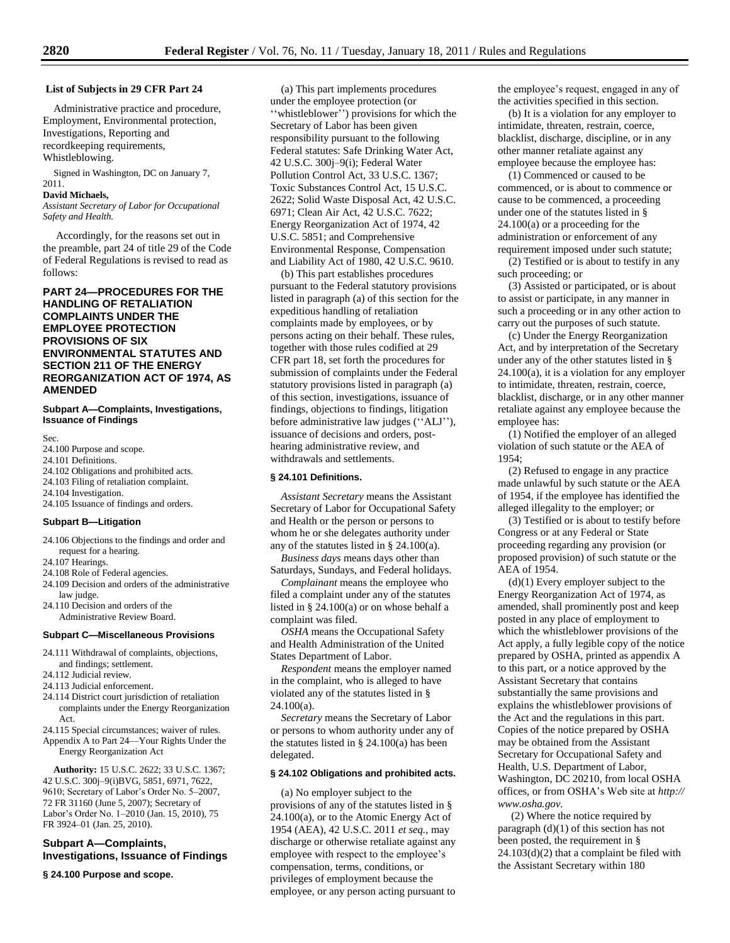## **List of Subjects in 29 CFR Part 24**

Administrative practice and procedure, Employment, Environmental protection, Investigations, Reporting and recordkeeping requirements, Whistleblowing.

Signed in Washington, DC on January 7,  $2011.$ 

#### **David Michaels,**

*Assistant Secretary of Labor for Occupational Safety and Health.*

Accordingly, for the reasons set out in the preamble, part 24 of title 29 of the Code of Federal Regulations is revised to read as follows:

## **PART 24—PROCEDURES FOR THE HANDLING OF RETALIATION COMPLAINTS UNDER THE EMPLOYEE PROTECTION PROVISIONS OF SIX ENVIRONMENTAL STATUTES AND SECTION 211 OF THE ENERGY REORGANIZATION ACT OF 1974, AS AMENDED**

## **Subpart A—Complaints, Investigations, Issuance of Findings**

Sec.

- 24.100 Purpose and scope.
- 24.101 Definitions.
- 24.102 Obligations and prohibited acts.
- 24.103 Filing of retaliation complaint.
- 24.104 Investigation.
- 24.105 Issuance of findings and orders.

## **Subpart B—Litigation**

- 24.106 Objections to the findings and order and request for a hearing.
- 24.107 Hearings.
- 24.108 Role of Federal agencies.
- 24.109 Decision and orders of the administrative law judge.
- 24.110 Decision and orders of the Administrative Review Board.

#### **Subpart C—Miscellaneous Provisions**

- 24.111 Withdrawal of complaints, objections, and findings; settlement.
- 24.112 Judicial review.
- 24.113 Judicial enforcement.
- 24.114 District court jurisdiction of retaliation complaints under the Energy Reorganization Act.
- 24.115 Special circumstances; waiver of rules.
- Appendix A to Part 24—Your Rights Under the Energy Reorganization Act

**Authority:** 15 U.S.C. 2622; 33 U.S.C. 1367; 42 U.S.C. 300j–9(i)BVG, 5851, 6971, 7622, 9610; Secretary of Labor's Order No. 5–2007, 72 FR 31160 (June 5, 2007); Secretary of Labor's Order No. 1–2010 (Jan. 15, 2010), 75 FR 3924–01 (Jan. 25, 2010).

## **Subpart A—Complaints, Investigations, Issuance of Findings**

**§ 24.100 Purpose and scope.**

(a) This part implements procedures under the employee protection (or ''whistleblower'') provisions for which the Secretary of Labor has been given responsibility pursuant to the following Federal statutes: Safe Drinking Water Act, 42 U.S.C. 300j–9(i); Federal Water Pollution Control Act, 33 U.S.C. 1367; Toxic Substances Control Act, 15 U.S.C. 2622; Solid Waste Disposal Act, 42 U.S.C. 6971; Clean Air Act, 42 U.S.C. 7622; Energy Reorganization Act of 1974, 42 U.S.C. 5851; and Comprehensive Environmental Response, Compensation and Liability Act of 1980, 42 U.S.C. 9610.

(b) This part establishes procedures pursuant to the Federal statutory provisions listed in paragraph (a) of this section for the expeditious handling of retaliation complaints made by employees, or by persons acting on their behalf. These rules, together with those rules codified at 29 CFR part 18, set forth the procedures for submission of complaints under the Federal statutory provisions listed in paragraph (a) of this section, investigations, issuance of findings, objections to findings, litigation before administrative law judges (''ALJ''), issuance of decisions and orders, posthearing administrative review, and withdrawals and settlements.

#### **§ 24.101 Definitions.**

*Assistant Secretary* means the Assistant Secretary of Labor for Occupational Safety and Health or the person or persons to whom he or she delegates authority under any of the statutes listed in § 24.100(a).

*Business days* means days other than Saturdays, Sundays, and Federal holidays.

*Complainant* means the employee who filed a complaint under any of the statutes listed in § 24.100(a) or on whose behalf a complaint was filed.

*OSHA* means the Occupational Safety and Health Administration of the United States Department of Labor.

*Respondent* means the employer named in the complaint, who is alleged to have violated any of the statutes listed in §  $24.100(a)$ .

*Secretary* means the Secretary of Labor or persons to whom authority under any of the statutes listed in  $\S$  24.100(a) has been delegated.

## **§ 24.102 Obligations and prohibited acts.**

(a) No employer subject to the provisions of any of the statutes listed in § 24.100(a), or to the Atomic Energy Act of 1954 (AEA), 42 U.S.C. 2011 *et seq.,* may discharge or otherwise retaliate against any employee with respect to the employee's compensation, terms, conditions, or privileges of employment because the employee, or any person acting pursuant to the employee's request, engaged in any of the activities specified in this section.

(b) It is a violation for any employer to intimidate, threaten, restrain, coerce, blacklist, discharge, discipline, or in any other manner retaliate against any employee because the employee has:

(1) Commenced or caused to be commenced, or is about to commence or cause to be commenced, a proceeding under one of the statutes listed in § 24.100(a) or a proceeding for the administration or enforcement of any requirement imposed under such statute;

(2) Testified or is about to testify in any such proceeding; or

(3) Assisted or participated, or is about to assist or participate, in any manner in such a proceeding or in any other action to carry out the purposes of such statute.

(c) Under the Energy Reorganization Act, and by interpretation of the Secretary under any of the other statutes listed in § 24.100(a), it is a violation for any employer to intimidate, threaten, restrain, coerce, blacklist, discharge, or in any other manner retaliate against any employee because the employee has:

(1) Notified the employer of an alleged violation of such statute or the AEA of 1954;

(2) Refused to engage in any practice made unlawful by such statute or the AEA of 1954, if the employee has identified the alleged illegality to the employer; or

(3) Testified or is about to testify before Congress or at any Federal or State proceeding regarding any provision (or proposed provision) of such statute or the AEA of 1954.

(d)(1) Every employer subject to the Energy Reorganization Act of 1974, as amended, shall prominently post and keep posted in any place of employment to which the whistleblower provisions of the Act apply, a fully legible copy of the notice prepared by OSHA, printed as appendix A to this part, or a notice approved by the Assistant Secretary that contains substantially the same provisions and explains the whistleblower provisions of the Act and the regulations in this part. Copies of the notice prepared by OSHA may be obtained from the Assistant Secretary for Occupational Safety and Health, U.S. Department of Labor, Washington, DC 20210, from local OSHA offices, or from OSHA's Web site at *http:// www.osha.gov.*

(2) Where the notice required by paragraph (d)(1) of this section has not been posted, the requirement in § 24.103(d)(2) that a complaint be filed with the Assistant Secretary within 180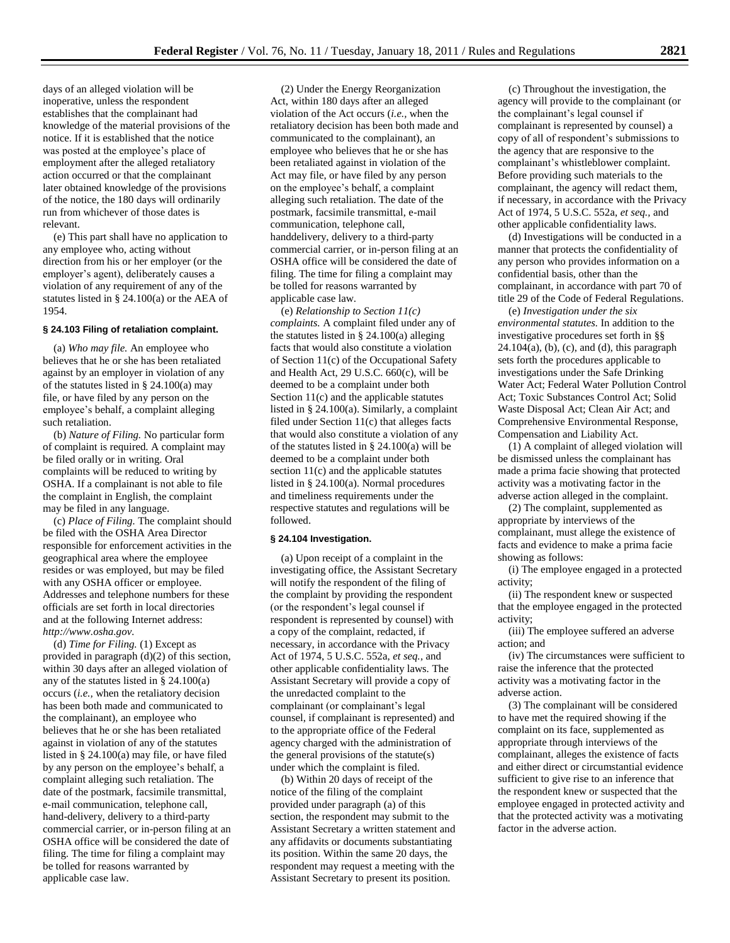days of an alleged violation will be inoperative, unless the respondent establishes that the complainant had knowledge of the material provisions of the notice. If it is established that the notice was posted at the employee's place of employment after the alleged retaliatory action occurred or that the complainant later obtained knowledge of the provisions of the notice, the 180 days will ordinarily run from whichever of those dates is relevant.

(e) This part shall have no application to any employee who, acting without direction from his or her employer (or the employer's agent), deliberately causes a violation of any requirement of any of the statutes listed in § 24.100(a) or the AEA of 1954.

## **§ 24.103 Filing of retaliation complaint.**

(a) *Who may file.* An employee who believes that he or she has been retaliated against by an employer in violation of any of the statutes listed in § 24.100(a) may file, or have filed by any person on the employee's behalf, a complaint alleging such retaliation.

(b) *Nature of Filing.* No particular form of complaint is required. A complaint may be filed orally or in writing. Oral complaints will be reduced to writing by OSHA. If a complainant is not able to file the complaint in English, the complaint may be filed in any language.

(c) *Place of Filing.* The complaint should be filed with the OSHA Area Director responsible for enforcement activities in the geographical area where the employee resides or was employed, but may be filed with any OSHA officer or employee. Addresses and telephone numbers for these officials are set forth in local directories and at the following Internet address: *http://www.osha.gov.*

(d) *Time for Filing.* (1) Except as provided in paragraph (d)(2) of this section, within 30 days after an alleged violation of any of the statutes listed in § 24.100(a) occurs (*i.e.,* when the retaliatory decision has been both made and communicated to the complainant), an employee who believes that he or she has been retaliated against in violation of any of the statutes listed in § 24.100(a) may file, or have filed by any person on the employee's behalf, a complaint alleging such retaliation. The date of the postmark, facsimile transmittal, e-mail communication, telephone call, hand-delivery, delivery to a third-party commercial carrier, or in-person filing at an OSHA office will be considered the date of filing. The time for filing a complaint may be tolled for reasons warranted by applicable case law.

(2) Under the Energy Reorganization Act, within 180 days after an alleged violation of the Act occurs (*i.e.,* when the retaliatory decision has been both made and communicated to the complainant), an employee who believes that he or she has been retaliated against in violation of the Act may file, or have filed by any person on the employee's behalf, a complaint alleging such retaliation. The date of the postmark, facsimile transmittal, e-mail communication, telephone call, handdelivery, delivery to a third-party commercial carrier, or in-person filing at an OSHA office will be considered the date of filing. The time for filing a complaint may be tolled for reasons warranted by applicable case law.

(e) *Relationship to Section 11(c) complaints.* A complaint filed under any of the statutes listed in  $\S$  24.100(a) alleging facts that would also constitute a violation of Section 11(c) of the Occupational Safety and Health Act, 29 U.S.C. 660(c), will be deemed to be a complaint under both Section 11(c) and the applicable statutes listed in § 24.100(a). Similarly, a complaint filed under Section 11(c) that alleges facts that would also constitute a violation of any of the statutes listed in § 24.100(a) will be deemed to be a complaint under both section 11(c) and the applicable statutes listed in § 24.100(a). Normal procedures and timeliness requirements under the respective statutes and regulations will be followed.

## **§ 24.104 Investigation.**

(a) Upon receipt of a complaint in the investigating office, the Assistant Secretary will notify the respondent of the filing of the complaint by providing the respondent (or the respondent's legal counsel if respondent is represented by counsel) with a copy of the complaint, redacted, if necessary, in accordance with the Privacy Act of 1974, 5 U.S.C. 552a, *et seq.,* and other applicable confidentiality laws. The Assistant Secretary will provide a copy of the unredacted complaint to the complainant (or complainant's legal counsel, if complainant is represented) and to the appropriate office of the Federal agency charged with the administration of the general provisions of the statute(s) under which the complaint is filed.

(b) Within 20 days of receipt of the notice of the filing of the complaint provided under paragraph (a) of this section, the respondent may submit to the Assistant Secretary a written statement and any affidavits or documents substantiating its position. Within the same 20 days, the respondent may request a meeting with the Assistant Secretary to present its position.

(c) Throughout the investigation, the agency will provide to the complainant (or the complainant's legal counsel if complainant is represented by counsel) a copy of all of respondent's submissions to the agency that are responsive to the complainant's whistleblower complaint. Before providing such materials to the complainant, the agency will redact them, if necessary, in accordance with the Privacy Act of 1974, 5 U.S.C. 552a, *et seq.,* and other applicable confidentiality laws.

(d) Investigations will be conducted in a manner that protects the confidentiality of any person who provides information on a confidential basis, other than the complainant, in accordance with part 70 of title 29 of the Code of Federal Regulations.

(e) *Investigation under the six environmental statutes.* In addition to the investigative procedures set forth in §§  $24.104(a)$ , (b), (c), and (d), this paragraph sets forth the procedures applicable to investigations under the Safe Drinking Water Act; Federal Water Pollution Control Act; Toxic Substances Control Act; Solid Waste Disposal Act; Clean Air Act; and Comprehensive Environmental Response, Compensation and Liability Act.

(1) A complaint of alleged violation will be dismissed unless the complainant has made a prima facie showing that protected activity was a motivating factor in the adverse action alleged in the complaint.

(2) The complaint, supplemented as appropriate by interviews of the complainant, must allege the existence of facts and evidence to make a prima facie showing as follows:

(i) The employee engaged in a protected activity;

(ii) The respondent knew or suspected that the employee engaged in the protected activity;

(iii) The employee suffered an adverse action; and

(iv) The circumstances were sufficient to raise the inference that the protected activity was a motivating factor in the adverse action.

(3) The complainant will be considered to have met the required showing if the complaint on its face, supplemented as appropriate through interviews of the complainant, alleges the existence of facts and either direct or circumstantial evidence sufficient to give rise to an inference that the respondent knew or suspected that the employee engaged in protected activity and that the protected activity was a motivating factor in the adverse action.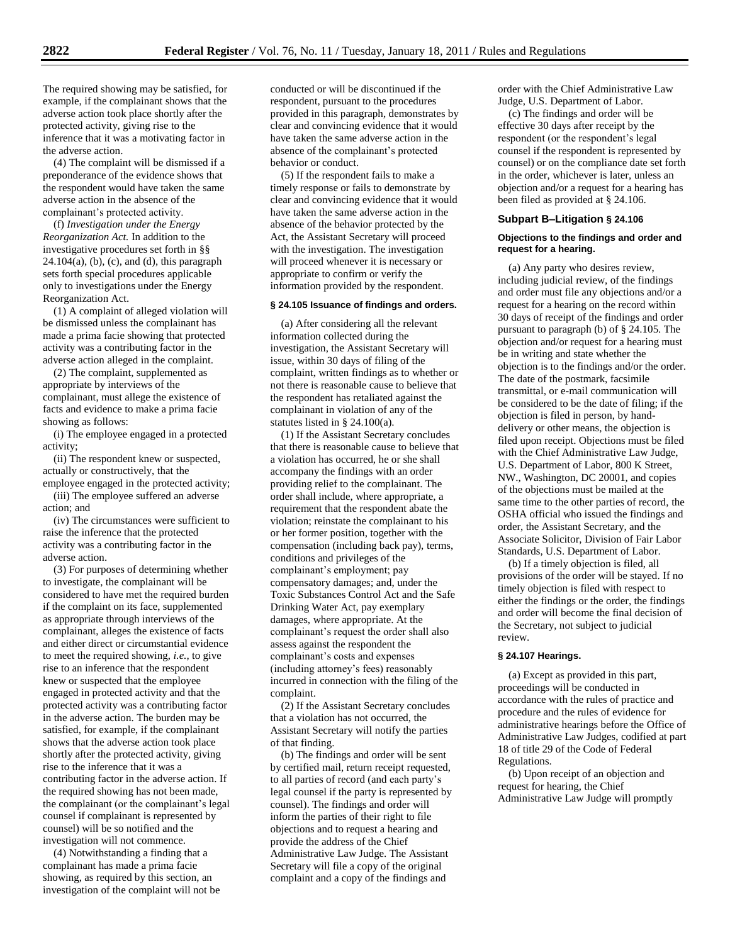(4) The complaint will be dismissed if a preponderance of the evidence shows that the respondent would have taken the same adverse action in the absence of the complainant's protected activity.

(f) *Investigation under the Energy Reorganization Act.* In addition to the investigative procedures set forth in §§  $24.104(a)$ , (b), (c), and (d), this paragraph sets forth special procedures applicable only to investigations under the Energy Reorganization Act.

(1) A complaint of alleged violation will be dismissed unless the complainant has made a prima facie showing that protected activity was a contributing factor in the adverse action alleged in the complaint.

(2) The complaint, supplemented as appropriate by interviews of the complainant, must allege the existence of facts and evidence to make a prima facie showing as follows:

(i) The employee engaged in a protected activity;

(ii) The respondent knew or suspected, actually or constructively, that the employee engaged in the protected activity;

(iii) The employee suffered an adverse action; and

(iv) The circumstances were sufficient to raise the inference that the protected activity was a contributing factor in the adverse action.

(3) For purposes of determining whether to investigate, the complainant will be considered to have met the required burden if the complaint on its face, supplemented as appropriate through interviews of the complainant, alleges the existence of facts and either direct or circumstantial evidence to meet the required showing, *i.e.,* to give rise to an inference that the respondent knew or suspected that the employee engaged in protected activity and that the protected activity was a contributing factor in the adverse action. The burden may be satisfied, for example, if the complainant shows that the adverse action took place shortly after the protected activity, giving rise to the inference that it was a contributing factor in the adverse action. If the required showing has not been made, the complainant (or the complainant's legal counsel if complainant is represented by counsel) will be so notified and the investigation will not commence.

(4) Notwithstanding a finding that a complainant has made a prima facie showing, as required by this section, an investigation of the complaint will not be conducted or will be discontinued if the respondent, pursuant to the procedures provided in this paragraph, demonstrates by clear and convincing evidence that it would have taken the same adverse action in the absence of the complainant's protected behavior or conduct.

(5) If the respondent fails to make a timely response or fails to demonstrate by clear and convincing evidence that it would have taken the same adverse action in the absence of the behavior protected by the Act, the Assistant Secretary will proceed with the investigation. The investigation will proceed whenever it is necessary or appropriate to confirm or verify the information provided by the respondent.

## **§ 24.105 Issuance of findings and orders.**

(a) After considering all the relevant information collected during the investigation, the Assistant Secretary will issue, within 30 days of filing of the complaint, written findings as to whether or not there is reasonable cause to believe that the respondent has retaliated against the complainant in violation of any of the statutes listed in § 24.100(a).

(1) If the Assistant Secretary concludes that there is reasonable cause to believe that a violation has occurred, he or she shall accompany the findings with an order providing relief to the complainant. The order shall include, where appropriate, a requirement that the respondent abate the violation; reinstate the complainant to his or her former position, together with the compensation (including back pay), terms, conditions and privileges of the complainant's employment; pay compensatory damages; and, under the Toxic Substances Control Act and the Safe Drinking Water Act, pay exemplary damages, where appropriate. At the complainant's request the order shall also assess against the respondent the complainant's costs and expenses (including attorney's fees) reasonably incurred in connection with the filing of the complaint.

(2) If the Assistant Secretary concludes that a violation has not occurred, the Assistant Secretary will notify the parties of that finding.

(b) The findings and order will be sent by certified mail, return receipt requested, to all parties of record (and each party's legal counsel if the party is represented by counsel). The findings and order will inform the parties of their right to file objections and to request a hearing and provide the address of the Chief Administrative Law Judge. The Assistant Secretary will file a copy of the original complaint and a copy of the findings and

order with the Chief Administrative Law Judge, U.S. Department of Labor.

(c) The findings and order will be effective 30 days after receipt by the respondent (or the respondent's legal counsel if the respondent is represented by counsel) or on the compliance date set forth in the order, whichever is later, unless an objection and/or a request for a hearing has been filed as provided at § 24.106.

#### **Subpart B–Litigation § 24.106**

#### **Objections to the findings and order and request for a hearing.**

(a) Any party who desires review, including judicial review, of the findings and order must file any objections and/or a request for a hearing on the record within 30 days of receipt of the findings and order pursuant to paragraph (b) of § 24.105. The objection and/or request for a hearing must be in writing and state whether the objection is to the findings and/or the order. The date of the postmark, facsimile transmittal, or e-mail communication will be considered to be the date of filing; if the objection is filed in person, by handdelivery or other means, the objection is filed upon receipt. Objections must be filed with the Chief Administrative Law Judge, U.S. Department of Labor, 800 K Street, NW., Washington, DC 20001, and copies of the objections must be mailed at the same time to the other parties of record, the OSHA official who issued the findings and order, the Assistant Secretary, and the Associate Solicitor, Division of Fair Labor Standards, U.S. Department of Labor.

(b) If a timely objection is filed, all provisions of the order will be stayed. If no timely objection is filed with respect to either the findings or the order, the findings and order will become the final decision of the Secretary, not subject to judicial review.

#### **§ 24.107 Hearings.**

(a) Except as provided in this part, proceedings will be conducted in accordance with the rules of practice and procedure and the rules of evidence for administrative hearings before the Office of Administrative Law Judges, codified at part 18 of title 29 of the Code of Federal Regulations.

(b) Upon receipt of an objection and request for hearing, the Chief Administrative Law Judge will promptly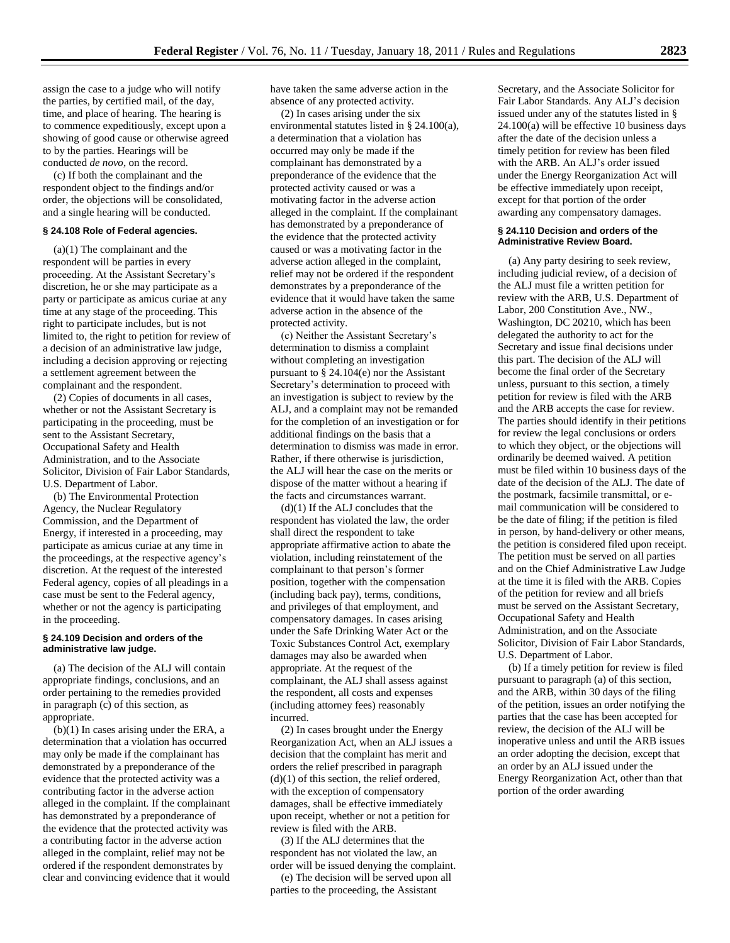assign the case to a judge who will notify the parties, by certified mail, of the day, time, and place of hearing. The hearing is to commence expeditiously, except upon a showing of good cause or otherwise agreed to by the parties. Hearings will be conducted *de novo,* on the record.

(c) If both the complainant and the respondent object to the findings and/or order, the objections will be consolidated, and a single hearing will be conducted.

## **§ 24.108 Role of Federal agencies.**

(a)(1) The complainant and the respondent will be parties in every proceeding. At the Assistant Secretary's discretion, he or she may participate as a party or participate as amicus curiae at any time at any stage of the proceeding. This right to participate includes, but is not limited to, the right to petition for review of a decision of an administrative law judge, including a decision approving or rejecting a settlement agreement between the complainant and the respondent.

(2) Copies of documents in all cases, whether or not the Assistant Secretary is participating in the proceeding, must be sent to the Assistant Secretary, Occupational Safety and Health Administration, and to the Associate Solicitor, Division of Fair Labor Standards, U.S. Department of Labor.

(b) The Environmental Protection Agency, the Nuclear Regulatory Commission, and the Department of Energy, if interested in a proceeding, may participate as amicus curiae at any time in the proceedings, at the respective agency's discretion. At the request of the interested Federal agency, copies of all pleadings in a case must be sent to the Federal agency, whether or not the agency is participating in the proceeding.

#### **§ 24.109 Decision and orders of the administrative law judge.**

(a) The decision of the ALJ will contain appropriate findings, conclusions, and an order pertaining to the remedies provided in paragraph (c) of this section, as appropriate.

(b)(1) In cases arising under the ERA, a determination that a violation has occurred may only be made if the complainant has demonstrated by a preponderance of the evidence that the protected activity was a contributing factor in the adverse action alleged in the complaint. If the complainant has demonstrated by a preponderance of the evidence that the protected activity was a contributing factor in the adverse action alleged in the complaint, relief may not be ordered if the respondent demonstrates by clear and convincing evidence that it would

have taken the same adverse action in the absence of any protected activity.

(2) In cases arising under the six environmental statutes listed in § 24.100(a), a determination that a violation has occurred may only be made if the complainant has demonstrated by a preponderance of the evidence that the protected activity caused or was a motivating factor in the adverse action alleged in the complaint. If the complainant has demonstrated by a preponderance of the evidence that the protected activity caused or was a motivating factor in the adverse action alleged in the complaint, relief may not be ordered if the respondent demonstrates by a preponderance of the evidence that it would have taken the same adverse action in the absence of the protected activity.

(c) Neither the Assistant Secretary's determination to dismiss a complaint without completing an investigation pursuant to § 24.104(e) nor the Assistant Secretary's determination to proceed with an investigation is subject to review by the ALJ, and a complaint may not be remanded for the completion of an investigation or for additional findings on the basis that a determination to dismiss was made in error. Rather, if there otherwise is jurisdiction, the ALJ will hear the case on the merits or dispose of the matter without a hearing if the facts and circumstances warrant.

 $(d)(1)$  If the ALJ concludes that the respondent has violated the law, the order shall direct the respondent to take appropriate affirmative action to abate the violation, including reinstatement of the complainant to that person's former position, together with the compensation (including back pay), terms, conditions, and privileges of that employment, and compensatory damages. In cases arising under the Safe Drinking Water Act or the Toxic Substances Control Act, exemplary damages may also be awarded when appropriate. At the request of the complainant, the ALJ shall assess against the respondent, all costs and expenses (including attorney fees) reasonably incurred.

(2) In cases brought under the Energy Reorganization Act, when an ALJ issues a decision that the complaint has merit and orders the relief prescribed in paragraph  $(d)(1)$  of this section, the relief ordered, with the exception of compensatory damages, shall be effective immediately upon receipt, whether or not a petition for review is filed with the ARB.

(3) If the ALJ determines that the respondent has not violated the law, an order will be issued denying the complaint.

(e) The decision will be served upon all parties to the proceeding, the Assistant

Secretary, and the Associate Solicitor for Fair Labor Standards. Any ALJ's decision issued under any of the statutes listed in § 24.100(a) will be effective 10 business days after the date of the decision unless a timely petition for review has been filed with the ARB. An ALJ's order issued under the Energy Reorganization Act will be effective immediately upon receipt, except for that portion of the order awarding any compensatory damages.

#### **§ 24.110 Decision and orders of the Administrative Review Board.**

(a) Any party desiring to seek review, including judicial review, of a decision of the ALJ must file a written petition for review with the ARB, U.S. Department of Labor, 200 Constitution Ave., NW., Washington, DC 20210, which has been delegated the authority to act for the Secretary and issue final decisions under this part. The decision of the ALJ will become the final order of the Secretary unless, pursuant to this section, a timely petition for review is filed with the ARB and the ARB accepts the case for review. The parties should identify in their petitions for review the legal conclusions or orders to which they object, or the objections will ordinarily be deemed waived. A petition must be filed within 10 business days of the date of the decision of the ALJ. The date of the postmark, facsimile transmittal, or email communication will be considered to be the date of filing; if the petition is filed in person, by hand-delivery or other means, the petition is considered filed upon receipt. The petition must be served on all parties and on the Chief Administrative Law Judge at the time it is filed with the ARB. Copies of the petition for review and all briefs must be served on the Assistant Secretary, Occupational Safety and Health Administration, and on the Associate Solicitor, Division of Fair Labor Standards, U.S. Department of Labor.

(b) If a timely petition for review is filed pursuant to paragraph (a) of this section, and the ARB, within 30 days of the filing of the petition, issues an order notifying the parties that the case has been accepted for review, the decision of the ALJ will be inoperative unless and until the ARB issues an order adopting the decision, except that an order by an ALJ issued under the Energy Reorganization Act, other than that portion of the order awarding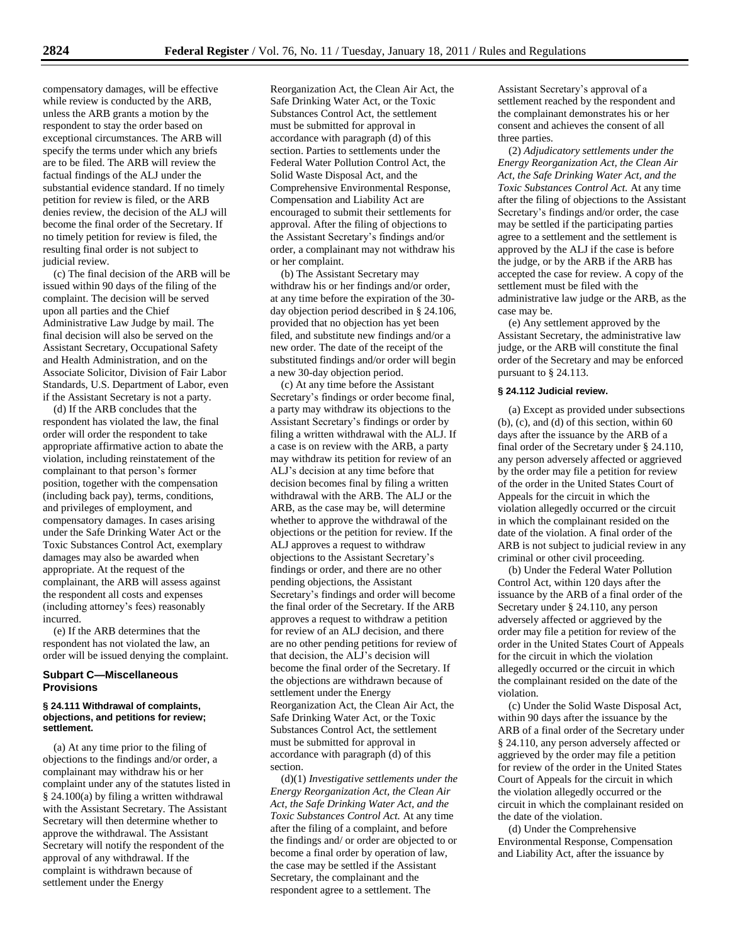compensatory damages, will be effective while review is conducted by the ARB, unless the ARB grants a motion by the respondent to stay the order based on exceptional circumstances. The ARB will specify the terms under which any briefs are to be filed. The ARB will review the factual findings of the ALJ under the substantial evidence standard. If no timely petition for review is filed, or the ARB denies review, the decision of the ALJ will become the final order of the Secretary. If no timely petition for review is filed, the resulting final order is not subject to judicial review.

(c) The final decision of the ARB will be issued within 90 days of the filing of the complaint. The decision will be served upon all parties and the Chief Administrative Law Judge by mail. The final decision will also be served on the Assistant Secretary, Occupational Safety and Health Administration, and on the Associate Solicitor, Division of Fair Labor Standards, U.S. Department of Labor, even if the Assistant Secretary is not a party.

(d) If the ARB concludes that the respondent has violated the law, the final order will order the respondent to take appropriate affirmative action to abate the violation, including reinstatement of the complainant to that person's former position, together with the compensation (including back pay), terms, conditions, and privileges of employment, and compensatory damages. In cases arising under the Safe Drinking Water Act or the Toxic Substances Control Act, exemplary damages may also be awarded when appropriate. At the request of the complainant, the ARB will assess against the respondent all costs and expenses (including attorney's fees) reasonably incurred.

(e) If the ARB determines that the respondent has not violated the law, an order will be issued denying the complaint.

## **Subpart C—Miscellaneous Provisions**

### **§ 24.111 Withdrawal of complaints, objections, and petitions for review; settlement.**

(a) At any time prior to the filing of objections to the findings and/or order, a complainant may withdraw his or her complaint under any of the statutes listed in § 24.100(a) by filing a written withdrawal with the Assistant Secretary. The Assistant Secretary will then determine whether to approve the withdrawal. The Assistant Secretary will notify the respondent of the approval of any withdrawal. If the complaint is withdrawn because of settlement under the Energy

Reorganization Act, the Clean Air Act, the Safe Drinking Water Act, or the Toxic Substances Control Act, the settlement must be submitted for approval in accordance with paragraph (d) of this section. Parties to settlements under the Federal Water Pollution Control Act, the Solid Waste Disposal Act, and the Comprehensive Environmental Response, Compensation and Liability Act are encouraged to submit their settlements for approval. After the filing of objections to the Assistant Secretary's findings and/or order, a complainant may not withdraw his or her complaint.

(b) The Assistant Secretary may withdraw his or her findings and/or order, at any time before the expiration of the 30 day objection period described in § 24.106, provided that no objection has yet been filed, and substitute new findings and/or a new order. The date of the receipt of the substituted findings and/or order will begin a new 30-day objection period.

(c) At any time before the Assistant Secretary's findings or order become final, a party may withdraw its objections to the Assistant Secretary's findings or order by filing a written withdrawal with the ALJ. If a case is on review with the ARB, a party may withdraw its petition for review of an ALJ's decision at any time before that decision becomes final by filing a written withdrawal with the ARB. The ALJ or the ARB, as the case may be, will determine whether to approve the withdrawal of the objections or the petition for review. If the ALJ approves a request to withdraw objections to the Assistant Secretary's findings or order, and there are no other pending objections, the Assistant Secretary's findings and order will become the final order of the Secretary. If the ARB approves a request to withdraw a petition for review of an ALJ decision, and there are no other pending petitions for review of that decision, the ALJ's decision will become the final order of the Secretary. If the objections are withdrawn because of settlement under the Energy Reorganization Act, the Clean Air Act, the Safe Drinking Water Act, or the Toxic Substances Control Act, the settlement must be submitted for approval in accordance with paragraph (d) of this section.

(d)(1) *Investigative settlements under the Energy Reorganization Act, the Clean Air Act, the Safe Drinking Water Act, and the Toxic Substances Control Act.* At any time after the filing of a complaint, and before the findings and/ or order are objected to or become a final order by operation of law, the case may be settled if the Assistant Secretary, the complainant and the respondent agree to a settlement. The

Assistant Secretary's approval of a settlement reached by the respondent and the complainant demonstrates his or her consent and achieves the consent of all three parties.

(2) *Adjudicatory settlements under the Energy Reorganization Act, the Clean Air Act, the Safe Drinking Water Act, and the Toxic Substances Control Act.* At any time after the filing of objections to the Assistant Secretary's findings and/or order, the case may be settled if the participating parties agree to a settlement and the settlement is approved by the ALJ if the case is before the judge, or by the ARB if the ARB has accepted the case for review. A copy of the settlement must be filed with the administrative law judge or the ARB, as the case may be.

(e) Any settlement approved by the Assistant Secretary, the administrative law judge, or the ARB will constitute the final order of the Secretary and may be enforced pursuant to § 24.113.

## **§ 24.112 Judicial review.**

(a) Except as provided under subsections  $(b)$ ,  $(c)$ , and  $(d)$  of this section, within 60 days after the issuance by the ARB of a final order of the Secretary under § 24.110, any person adversely affected or aggrieved by the order may file a petition for review of the order in the United States Court of Appeals for the circuit in which the violation allegedly occurred or the circuit in which the complainant resided on the date of the violation. A final order of the ARB is not subject to judicial review in any criminal or other civil proceeding.

(b) Under the Federal Water Pollution Control Act, within 120 days after the issuance by the ARB of a final order of the Secretary under § 24.110, any person adversely affected or aggrieved by the order may file a petition for review of the order in the United States Court of Appeals for the circuit in which the violation allegedly occurred or the circuit in which the complainant resided on the date of the violation.

(c) Under the Solid Waste Disposal Act, within 90 days after the issuance by the ARB of a final order of the Secretary under § 24.110, any person adversely affected or aggrieved by the order may file a petition for review of the order in the United States Court of Appeals for the circuit in which the violation allegedly occurred or the circuit in which the complainant resided on the date of the violation.

(d) Under the Comprehensive Environmental Response, Compensation and Liability Act, after the issuance by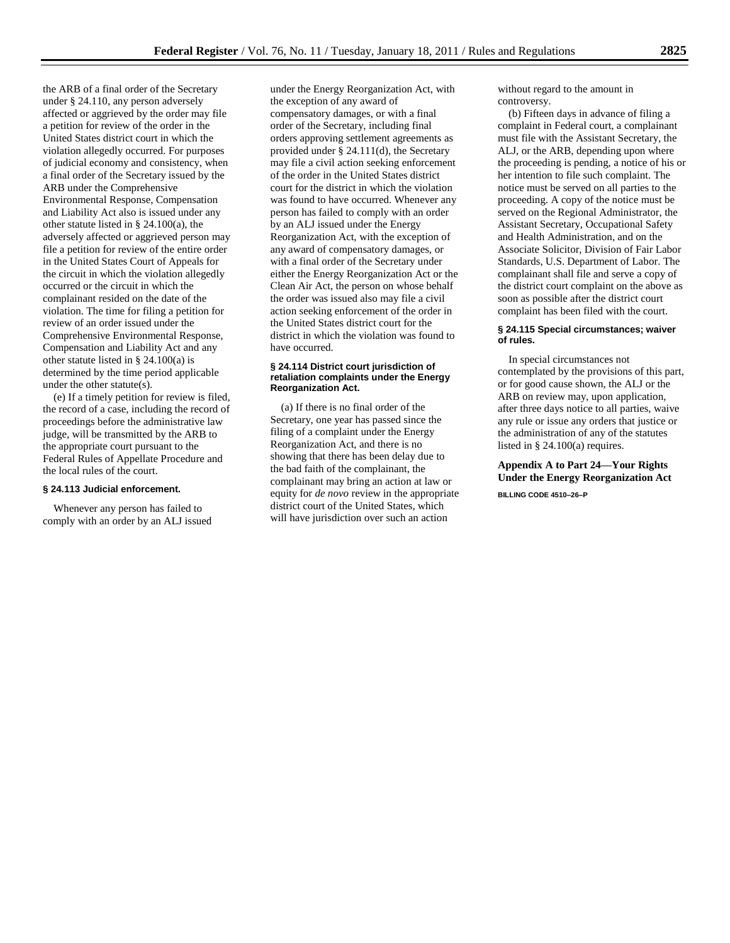the ARB of a final order of the Secretary under § 24.110, any person adversely affected or aggrieved by the order may file a petition for review of the order in the United States district court in which the violation allegedly occurred. For purposes of judicial economy and consistency, when a final order of the Secretary issued by the ARB under the Comprehensive Environmental Response, Compensation and Liability Act also is issued under any other statute listed in § 24.100(a), the adversely affected or aggrieved person may file a petition for review of the entire order in the United States Court of Appeals for the circuit in which the violation allegedly occurred or the circuit in which the complainant resided on the date of the violation. The time for filing a petition for review of an order issued under the Comprehensive Environmental Response, Compensation and Liability Act and any other statute listed in § 24.100(a) is determined by the time period applicable under the other statute(s).

(e) If a timely petition for review is filed, the record of a case, including the record of proceedings before the administrative law judge, will be transmitted by the ARB to the appropriate court pursuant to the Federal Rules of Appellate Procedure and the local rules of the court.

## **§ 24.113 Judicial enforcement.**

Whenever any person has failed to comply with an order by an ALJ issued under the Energy Reorganization Act, with the exception of any award of compensatory damages, or with a final order of the Secretary, including final orders approving settlement agreements as provided under § 24.111(d), the Secretary may file a civil action seeking enforcement of the order in the United States district court for the district in which the violation was found to have occurred. Whenever any person has failed to comply with an order by an ALJ issued under the Energy Reorganization Act, with the exception of any award of compensatory damages, or with a final order of the Secretary under either the Energy Reorganization Act or the Clean Air Act, the person on whose behalf the order was issued also may file a civil action seeking enforcement of the order in the United States district court for the district in which the violation was found to have occurred.

### **§ 24.114 District court jurisdiction of retaliation complaints under the Energy Reorganization Act.**

(a) If there is no final order of the Secretary, one year has passed since the filing of a complaint under the Energy Reorganization Act, and there is no showing that there has been delay due to the bad faith of the complainant, the complainant may bring an action at law or equity for *de novo* review in the appropriate district court of the United States, which will have jurisdiction over such an action

without regard to the amount in controversy.

(b) Fifteen days in advance of filing a complaint in Federal court, a complainant must file with the Assistant Secretary, the ALJ, or the ARB, depending upon where the proceeding is pending, a notice of his or her intention to file such complaint. The notice must be served on all parties to the proceeding. A copy of the notice must be served on the Regional Administrator, the Assistant Secretary, Occupational Safety and Health Administration, and on the Associate Solicitor, Division of Fair Labor Standards, U.S. Department of Labor. The complainant shall file and serve a copy of the district court complaint on the above as soon as possible after the district court complaint has been filed with the court.

#### **§ 24.115 Special circumstances; waiver of rules.**

In special circumstances not contemplated by the provisions of this part, or for good cause shown, the ALJ or the ARB on review may, upon application, after three days notice to all parties, waive any rule or issue any orders that justice or the administration of any of the statutes listed in § 24.100(a) requires.

**Appendix A to Part 24—Your Rights Under the Energy Reorganization Act**

**BILLING CODE 4510-26-P**